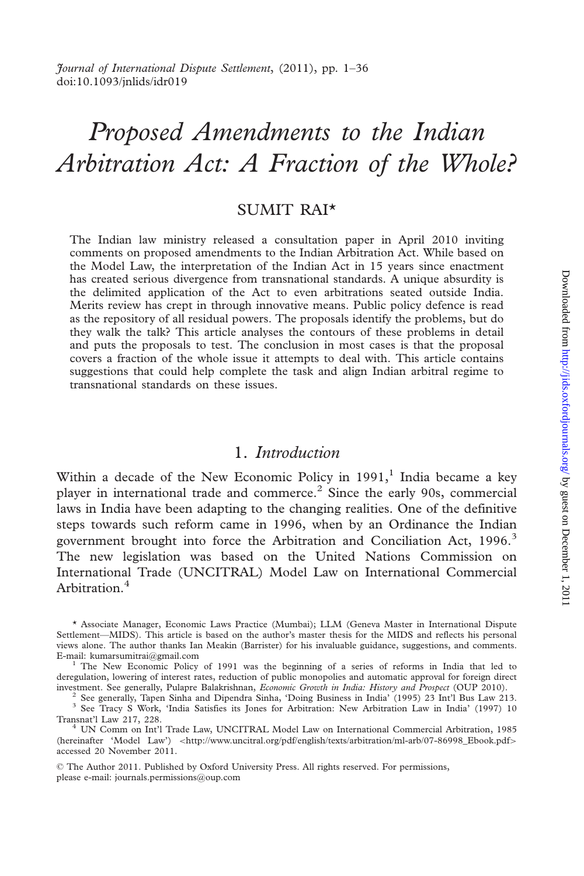# Proposed Amendments to the Indian Arbitration Act: A Fraction of the Whole?

# SUMIT RAI\*

The Indian law ministry released a consultation paper in April 2010 inviting comments on proposed amendments to the Indian Arbitration Act. While based on the Model Law, the interpretation of the Indian Act in 15 years since enactment has created serious divergence from transnational standards. A unique absurdity is the delimited application of the Act to even arbitrations seated outside India. Merits review has crept in through innovative means. Public policy defence is read as the repository of all residual powers. The proposals identify the problems, but do they walk the talk? This article analyses the contours of these problems in detail and puts the proposals to test. The conclusion in most cases is that the proposal covers a fraction of the whole issue it attempts to deal with. This article contains suggestions that could help complete the task and align Indian arbitral regime to transnational standards on these issues.

# 1. Introduction

Within a decade of the New Economic Policy in  $1991$ ,<sup>1</sup> India became a key player in international trade and commerce.<sup>2</sup> Since the early 90s, commercial laws in India have been adapting to the changing realities. One of the definitive steps towards such reform came in 1996, when by an Ordinance the Indian government brought into force the Arbitration and Conciliation Act,  $1996<sup>3</sup>$ The new legislation was based on the United Nations Commission on International Trade (UNCITRAL) Model Law on International Commercial Arbitration<sup>4</sup>

deregulation, lowering of interest rates, reduction of public monopolies and automatic approval for foreign direct<br>investment. See generally, Pulapre Balakrishnan, Economic Growth in India: History and Prospect (OUP 2010).

<sup>2</sup> See generally, Tapen Sinha and Dipendra Sinha, 'Doing Business in India' (1995) 23 Int'l Bus Law 213.<br><sup>3</sup> See Tracy S Work, 'India Satisfies its Jones for Arbitration: New Arbitration Law in India' (1997) 10<br>Transnat'

UN Comm on Int'l Trade Law, UNCITRAL Model Law on International Commercial Arbitration, 1985 (hereinafter 'Model Law') <[http://www.uncitral.org/pdf/english/texts/arbitration/ml-arb/07-86998\\_Ebook.pdf](http://www.uncitral.org/pdf/english/texts/arbitration/ml-arb/07-86998_Ebook.pdf)> accessed 20 November 2011.

© The Author 2011. Published by Oxford University Press. All rights reserved. For permissions, please e-mail: journals.permissions@oup.com

<sup>\*</sup> Associate Manager, Economic Laws Practice (Mumbai); LLM (Geneva Master in International Dispute Settlement—MIDS). This article is based on the author's master thesis for the MIDS and reflects his personal views alone. The author thanks Ian Meakin (Barrister) for his invaluable guidance, suggestions, and comments. E-mail: kumarsumitrai@gmail.com <sup>1</sup> The New Economic Policy of 1991 was the beginning of a series of reforms in India that led to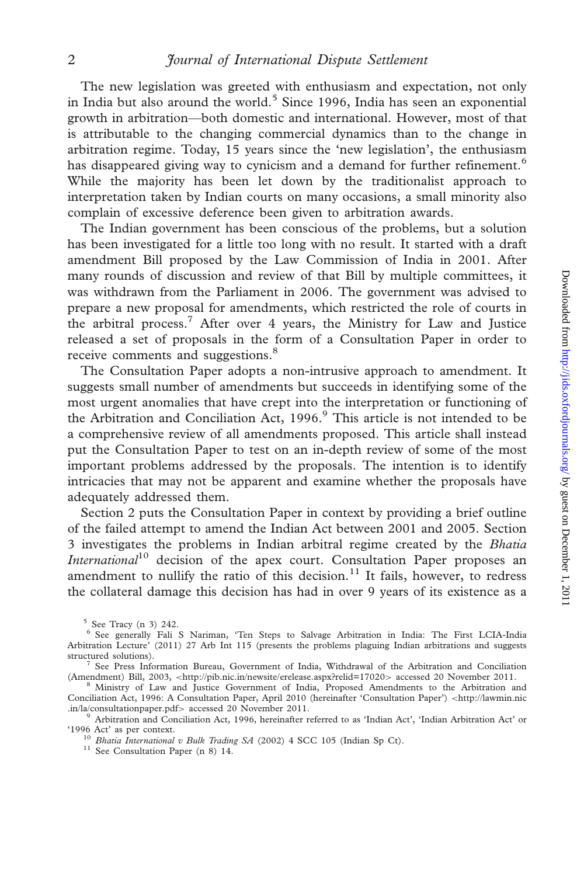The new legislation was greeted with enthusiasm and expectation, not only in India but also around the world.<sup>5</sup> Since 1996, India has seen an exponential growth in arbitration—both domestic and international. However, most of that is attributable to the changing commercial dynamics than to the change in arbitration regime. Today, 15 years since the 'new legislation', the enthusiasm has disappeared giving way to cynicism and a demand for further refinement.<sup>6</sup> While the majority has been let down by the traditionalist approach to interpretation taken by Indian courts on many occasions, a small minority also complain of excessive deference been given to arbitration awards.

The Indian government has been conscious of the problems, but a solution has been investigated for a little too long with no result. It started with a draft amendment Bill proposed by the Law Commission of India in 2001. After many rounds of discussion and review of that Bill by multiple committees, it was withdrawn from the Parliament in 2006. The government was advised to prepare a new proposal for amendments, which restricted the role of courts in the arbitral process.<sup>7</sup> After over 4 years, the Ministry for Law and Justice released a set of proposals in the form of a Consultation Paper in order to receive comments and suggestions.<sup>8</sup>

The Consultation Paper adopts a non-intrusive approach to amendment. It suggests small number of amendments but succeeds in identifying some of the most urgent anomalies that have crept into the interpretation or functioning of the Arbitration and Conciliation Act,  $1996<sup>9</sup>$ . This article is not intended to be a comprehensive review of all amendments proposed. This article shall instead put the Consultation Paper to test on an in-depth review of some of the most important problems addressed by the proposals. The intention is to identify intricacies that may not be apparent and examine whether the proposals have adequately addressed them.

Section 2 puts the Consultation Paper in context by providing a brief outline of the failed attempt to amend the Indian Act between 2001 and 2005. Section 3 investigates the problems in Indian arbitral regime created by the Bhatia International<sup>10</sup> decision of the apex court. Consultation Paper proposes an amendment to nullify the ratio of this decision.<sup>11</sup> It fails, however, to redress the collateral damage this decision has had in over 9 years of its existence as a

- <sup>10</sup> Bhatia International v Bulk Trading SA (2002) 4 SCC 105 (Indian Sp Ct). <sup>11</sup> See Consultation Paper (n 8) 14.
- 

<sup>5</sup> See Tracy (n 3) 242.

<sup>6</sup> See generally Fali S Nariman, 'Ten Steps to Salvage Arbitration in India: The First LCIA-India Arbitration Lecture' (2011) 27 Arb Int 115 (presents the problems plaguing Indian arbitrations and suggests

structured solutions).<br><sup>7</sup> See Press Information Bureau, Government of India, Withdrawal of the Arbitration and Conciliation<br>(Amendment) Bill, 2003, <http://pib.nic.in/newsite/erelease.aspx?relid=17020> accessed 20 Novembe

<sup>&</sup>lt;sup>8</sup> Ministry of Law and Justice Government of India, Proposed Amendments to the Arbitration and Conciliation Act, 1996: A Consultation Paper, April 2010 (hereinafter 'Consultation Paper') <[http://lawmin.nic](http://lawmin.nic.in/la/consultationpaper.pdf)

[<sup>.</sup>in/la/consultationpaper.pdf](http://lawmin.nic.in/la/consultationpaper.pdf)<sup>&</sup>gt; accessed 20 November 2011. <sup>9</sup> Arbitration and Conciliation Act, 1996, hereinafter referred to as 'Indian Act', 'Indian Arbitration Act' or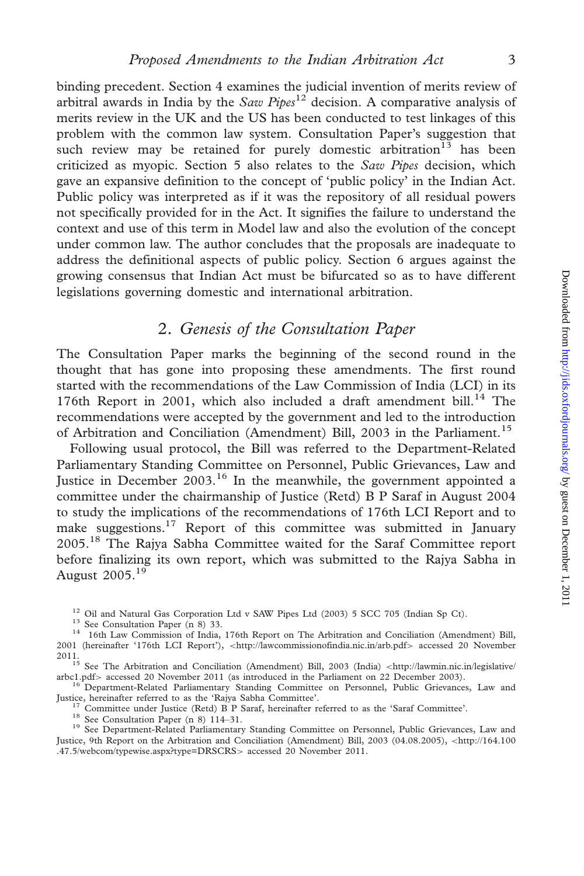binding precedent. Section 4 examines the judicial invention of merits review of arbitral awards in India by the Saw  $Pipes^{12}$  decision. A comparative analysis of merits review in the UK and the US has been conducted to test linkages of this problem with the common law system. Consultation Paper's suggestion that such review may be retained for purely domestic arbitration<sup>13</sup> has been criticized as myopic. Section 5 also relates to the Saw Pipes decision, which gave an expansive definition to the concept of 'public policy' in the Indian Act. Public policy was interpreted as if it was the repository of all residual powers not specifically provided for in the Act. It signifies the failure to understand the context and use of this term in Model law and also the evolution of the concept under common law. The author concludes that the proposals are inadequate to address the definitional aspects of public policy. Section 6 argues against the growing consensus that Indian Act must be bifurcated so as to have different legislations governing domestic and international arbitration.

# 2. Genesis of the Consultation Paper

The Consultation Paper marks the beginning of the second round in the thought that has gone into proposing these amendments. The first round started with the recommendations of the Law Commission of India (LCI) in its 176th Report in 2001, which also included a draft amendment bill.<sup>14</sup> The recommendations were accepted by the government and led to the introduction of Arbitration and Conciliation (Amendment) Bill, 2003 in the Parliament.<sup>15</sup>

Following usual protocol, the Bill was referred to the Department-Related Parliamentary Standing Committee on Personnel, Public Grievances, Law and Justice in December  $2003$ <sup>16</sup> In the meanwhile, the government appointed a committee under the chairmanship of Justice (Retd) B P Saraf in August 2004 to study the implications of the recommendations of 176th LCI Report and to make suggestions.<sup>17</sup> Report of this committee was submitted in January 2005.<sup>18</sup> The Rajya Sabha Committee waited for the Saraf Committee report before finalizing its own report, which was submitted to the Rajya Sabha in August  $2005.<sup>19</sup>$ 

<sup>12</sup> Oil and Natural Gas Corporation Ltd v SAW Pipes Ltd (2003) 5 SCC 705 (Indian Sp Ct).<br><sup>13</sup> See Consultation Paper (n 8) 33.<br><sup>14</sup> 16th Law Commission of India, 176th Report on The Arbitration and Conciliation (Amendmen

- 2001 (hereinafter '176th LCI Report'), <<http://lawcommissionofindia.nic.in/arb.pdf>> accessed 20 November
- 2011.<br><sup>15</sup> See The Arbitration and Conciliation (Amendment) Bill, 2003 (India) <[http://lawmin.nic.in/legislative/](http://lawmin.nic.in/legislative/arbc1.pdf)<br>arbc1.pdf> accessed 20 November 2011 (as introduced in the Parliament on 22 December 2003).

- -

Department-Related Parliamentary Standing Committee on Personnel, Public Grievances, Law and Justice, hereinafter referred to as the 'Rajya Sabha Committee'.<br><sup>17</sup> Committee under Justice (Retd) B P Saraf, hereinafter referred to as the 'Saraf Committee'.<br><sup>18</sup> See Consultation Paper (n 8) 114–31.<br><sup>19</sup> See Departmen

Justice, 9th Report on the Arbitration and Conciliation (Amendment) Bill, 2003 (04.08.2005), <[http://164.100](http://164.100.47.5/webcom/typewise.aspx?type=DRSCRS) [.47.5/webcom/typewise.aspx?type=DRSCRS](http://164.100.47.5/webcom/typewise.aspx?type=DRSCRS)> accessed 20 November 2011.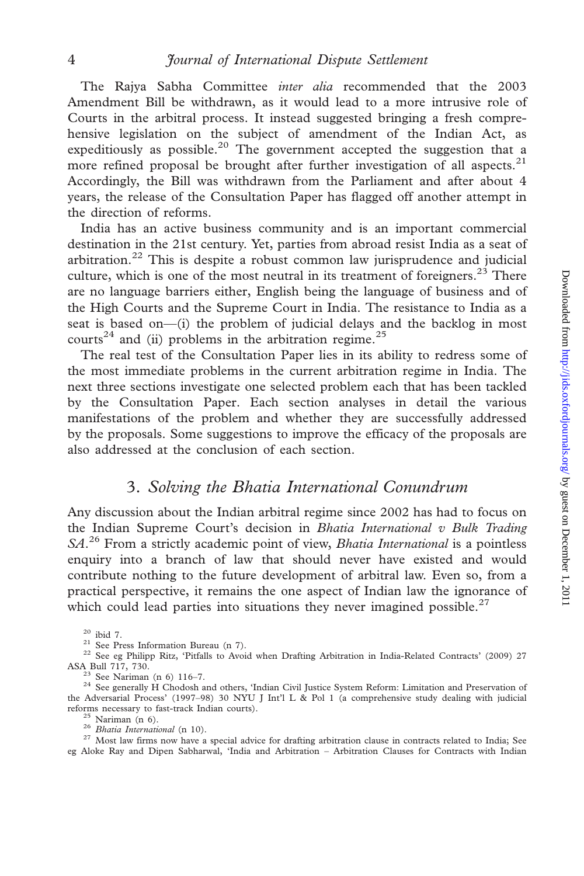The Rajya Sabha Committee *inter alia* recommended that the 2003 Amendment Bill be withdrawn, as it would lead to a more intrusive role of Courts in the arbitral process. It instead suggested bringing a fresh comprehensive legislation on the subject of amendment of the Indian Act, as expeditiously as possible.<sup>20</sup> The government accepted the suggestion that a more refined proposal be brought after further investigation of all aspects.<sup>21</sup> Accordingly, the Bill was withdrawn from the Parliament and after about 4 years, the release of the Consultation Paper has flagged off another attempt in the direction of reforms.

India has an active business community and is an important commercial destination in the 21st century. Yet, parties from abroad resist India as a seat of arbitration.<sup>22</sup> This is despite a robust common law jurisprudence and judicial culture, which is one of the most neutral in its treatment of foreigners.<sup>23</sup> There are no language barriers either, English being the language of business and of the High Courts and the Supreme Court in India. The resistance to India as a seat is based on—(i) the problem of judicial delays and the backlog in most courts<sup>24</sup> and (ii) problems in the arbitration regime.<sup>25</sup>

The real test of the Consultation Paper lies in its ability to redress some of the most immediate problems in the current arbitration regime in India. The next three sections investigate one selected problem each that has been tackled by the Consultation Paper. Each section analyses in detail the various manifestations of the problem and whether they are successfully addressed by the proposals. Some suggestions to improve the efficacy of the proposals are also addressed at the conclusion of each section.

# 3. Solving the Bhatia International Conundrum

Any discussion about the Indian arbitral regime since 2002 has had to focus on the Indian Supreme Court's decision in Bhatia International v Bulk Trading SA.<sup>26</sup> From a strictly academic point of view, Bhatia International is a pointless enquiry into a branch of law that should never have existed and would contribute nothing to the future development of arbitral law. Even so, from a practical perspective, it remains the one aspect of Indian law the ignorance of which could lead parties into situations they never imagined possible.<sup>27</sup>

<sup>23</sup> See Nariman (n 6) 116–7.<br><sup>24</sup> See generally H Chodosh and others, 'Indian Civil Justice System Reform: Limitation and Preservation of the Adversarial Process' (1997–98) 30 NYU J Int'l L & Pol 1 (a comprehensive study dealing with judicial reforms necessary to fast-track Indian courts).<br><sup>25</sup> Nariman (n 6).<br><sup>26</sup> Bhatia International (n 10).<br><sup>27</sup> Most law firms now have a special advice for drafting arbitration clause in contracts related to India; See

eg Aloke Ray and Dipen Sabharwal, 'India and Arbitration – Arbitration Clauses for Contracts with Indian

<sup>&</sup>lt;sup>20</sup> ibid 7.<br><sup>21</sup> See Press Information Bureau (n 7).<br><sup>22</sup> See eg Philipp Ritz, 'Pitfalls to Avoid when Drafting Arbitration in India-Related Contracts' (2009) 27<br>ASA Bull 717, 730.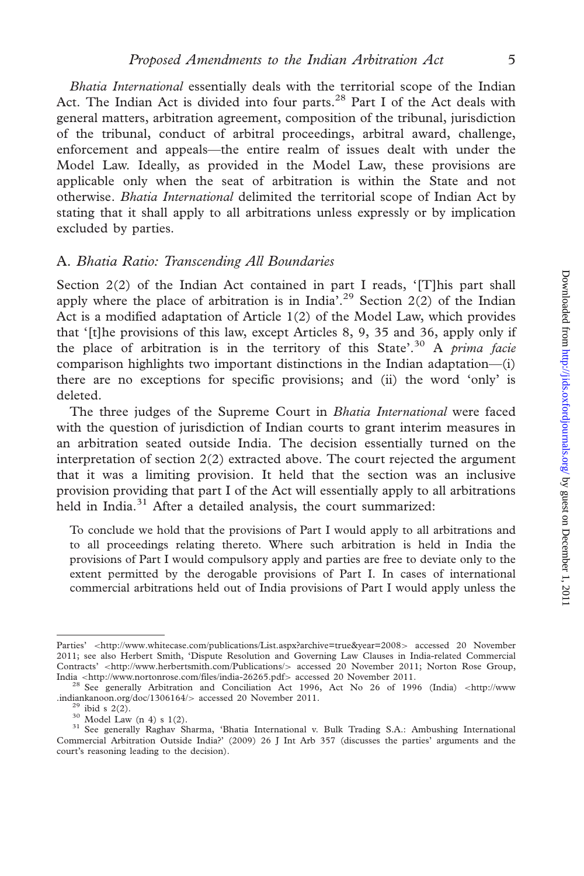Bhatia International essentially deals with the territorial scope of the Indian Act. The Indian Act is divided into four parts.<sup>28</sup> Part I of the Act deals with general matters, arbitration agreement, composition of the tribunal, jurisdiction of the tribunal, conduct of arbitral proceedings, arbitral award, challenge, enforcement and appeals—the entire realm of issues dealt with under the Model Law. Ideally, as provided in the Model Law, these provisions are applicable only when the seat of arbitration is within the State and not otherwise. Bhatia International delimited the territorial scope of Indian Act by stating that it shall apply to all arbitrations unless expressly or by implication excluded by parties.

## A. Bhatia Ratio: Transcending All Boundaries

Section  $2(2)$  of the Indian Act contained in part I reads, '[T]his part shall apply where the place of arbitration is in India'.<sup>29</sup> Section 2(2) of the Indian Act is a modified adaptation of Article 1(2) of the Model Law, which provides that '[t]he provisions of this law, except Articles 8, 9, 35 and 36, apply only if the place of arbitration is in the territory of this State'.<sup>30</sup> A *prima facie* comparison highlights two important distinctions in the Indian adaptation—(i) there are no exceptions for specific provisions; and (ii) the word 'only' is deleted.

The three judges of the Supreme Court in Bhatia International were faced with the question of jurisdiction of Indian courts to grant interim measures in an arbitration seated outside India. The decision essentially turned on the interpretation of section  $2(2)$  extracted above. The court rejected the argument that it was a limiting provision. It held that the section was an inclusive provision providing that part I of the Act will essentially apply to all arbitrations held in India.<sup>31</sup> After a detailed analysis, the court summarized:

To conclude we hold that the provisions of Part I would apply to all arbitrations and to all proceedings relating thereto. Where such arbitration is held in India the provisions of Part I would compulsory apply and parties are free to deviate only to the extent permitted by the derogable provisions of Part I. In cases of international commercial arbitrations held out of India provisions of Part I would apply unless the

Parties' <<http://www.whitecase.com/publications/List.aspx?archive=true&year=2008>> accessed 20 November 2011; see also Herbert Smith, 'Dispute Resolution and Governing Law Clauses in India-related Commercial Contracts' <<http://www.herbertsmith.com/Publications/>> accessed 20 November 2011; Norton Rose Group, India <http://www.nortonrose.com/files/india-26265.pdf> accessed 20 November 2011.

<sup>&</sup>lt;sup>28</sup> See generally Arbitration and Conciliation Act 1996, Act No 26 of 1996 (India) <[http://www](http://www.indiankanoon.org/doc/1306164/).indiankanoon.org/doc/1306164/> accessed 20 November 2011.

<sup>&</sup>lt;sup>29</sup> ibid s 2(2).<br><sup>30</sup> Model Law (n 4) s 1(2).<br><sup>31</sup> See generally Raghav Sharma, 'Bhatia International v. Bulk Trading S.A.: Ambushing International Commercial Arbitration Outside India?' (2009) 26 J Int Arb 357 (discusses the parties' arguments and the court's reasoning leading to the decision).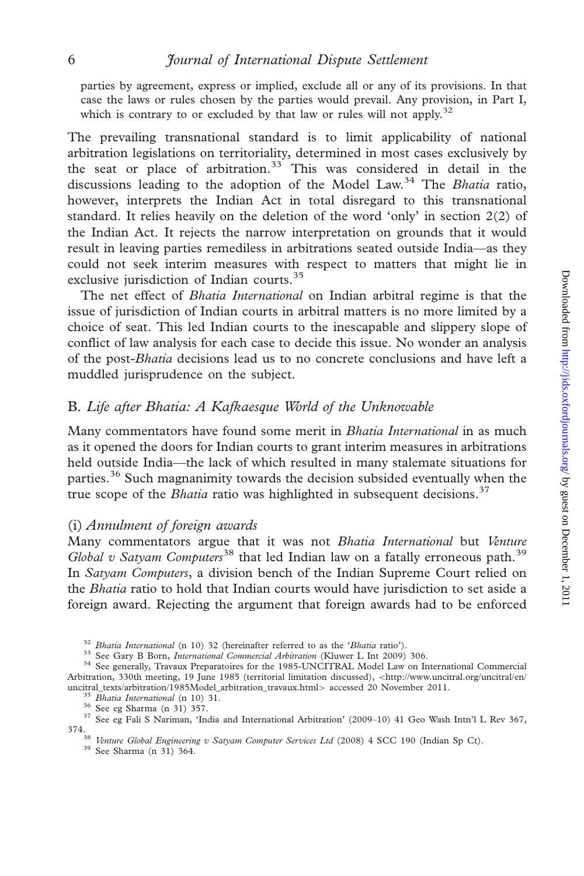parties by agreement, express or implied, exclude all or any of its provisions. In that case the laws or rules chosen by the parties would prevail. Any provision, in Part I, which is contrary to or excluded by that law or rules will not apply.<sup>32</sup>

The prevailing transnational standard is to limit applicability of national arbitration legislations on territoriality, determined in most cases exclusively by the seat or place of arbitration.<sup>33</sup> This was considered in detail in the discussions leading to the adoption of the Model Law.<sup>34</sup> The *Bhatia* ratio, however, interprets the Indian Act in total disregard to this transnational standard. It relies heavily on the deletion of the word 'only' in section 2(2) of the Indian Act. It rejects the narrow interpretation on grounds that it would result in leaving parties remediless in arbitrations seated outside India—as they could not seek interim measures with respect to matters that might lie in exclusive jurisdiction of Indian courts.<sup>35</sup>

The net effect of Bhatia International on Indian arbitral regime is that the issue of jurisdiction of Indian courts in arbitral matters is no more limited by a choice of seat. This led Indian courts to the inescapable and slippery slope of conflict of law analysis for each case to decide this issue. No wonder an analysis of the post-Bhatia decisions lead us to no concrete conclusions and have left a muddled jurisprudence on the subject.

## B. Life after Bhatia: A Kafkaesque World of the Unknowable

Many commentators have found some merit in Bhatia International in as much as it opened the doors for Indian courts to grant interim measures in arbitrations held outside India—the lack of which resulted in many stalemate situations for parties.<sup>36</sup> Such magnanimity towards the decision subsided eventually when the true scope of the *Bhatia* ratio was highlighted in subsequent decisions.<sup>37</sup>

#### (i) Annulment of foreign awards

Many commentators argue that it was not Bhatia International but Venture Global v Satyam Computers<sup>38</sup> that led Indian law on a fatally erroneous path.<sup>39</sup> In Satyam Computers, a division bench of the Indian Supreme Court relied on the *Bhatia* ratio to hold that Indian courts would have jurisdiction to set aside a foreign award. Rejecting the argument that foreign awards had to be enforced

<sup>32</sup> Bhatia International (n 10) 32 (hereinafter referred to as the 'Bhatia ratio').<br><sup>33</sup> See Gary B Born, *International Commercial Arbitration* (Kluwer L Int 2009) 306.<br><sup>34</sup> See generally, Travaux Preparatoires for the 1 Arbitration, 330th meeting, 19 June 1985 (territorial limitation discussed), <[http://www.uncitral.org/uncitral/en/](http://www.uncitral.org/uncitral/en/uncitral_texts/arbitration/1985Model_arbitration_travaux.html) [uncitral\\_texts/arbitration/1985Model\\_arbitration\\_travaux.html](http://www.uncitral.org/uncitral/en/uncitral_texts/arbitration/1985Model_arbitration_travaux.html)> accessed 20 November 2011.<br><sup>35</sup> Bhatia International (n 10) 31.<br><sup>36</sup> See eg Sharma (n 31) 357.<br><sup>37</sup> See eg Fali S Nariman, 'India and International Arbitration

374.38 Venture Global Engineering v Satyam Computer Services Ltd (2008) 4 SCC 190 (Indian Sp Ct). <sup>39</sup> See Sharma (n 31) 364.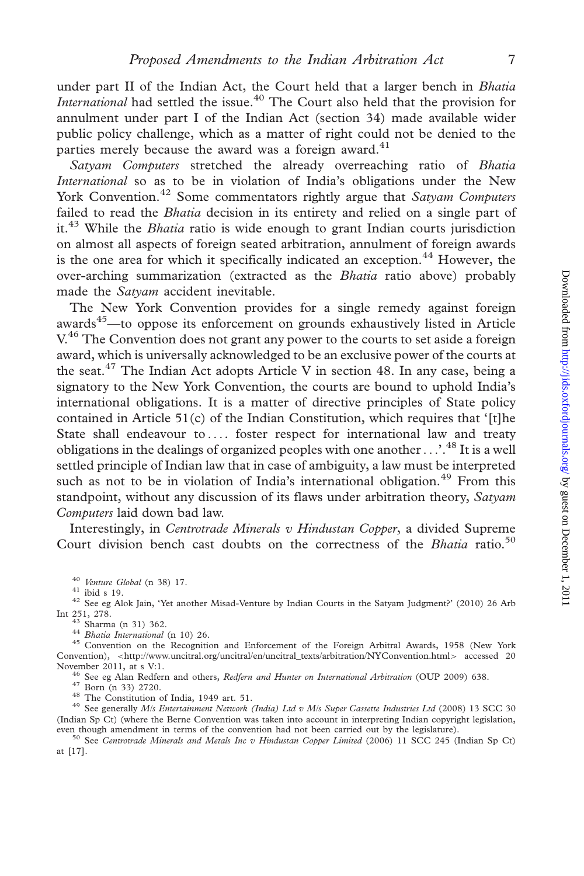under part II of the Indian Act, the Court held that a larger bench in *Bhatia* International had settled the issue.<sup>40</sup> The Court also held that the provision for annulment under part I of the Indian Act (section 34) made available wider public policy challenge, which as a matter of right could not be denied to the parties merely because the award was a foreign award. $41$ 

Satyam Computers stretched the already overreaching ratio of Bhatia International so as to be in violation of India's obligations under the New York Convention.<sup>42</sup> Some commentators rightly argue that Satyam Computers failed to read the *Bhatia* decision in its entirety and relied on a single part of it. $43$  While the *Bhatia* ratio is wide enough to grant Indian courts jurisdiction on almost all aspects of foreign seated arbitration, annulment of foreign awards is the one area for which it specifically indicated an exception.<sup>44</sup> However, the over-arching summarization (extracted as the Bhatia ratio above) probably made the Satyam accident inevitable.

The New York Convention provides for a single remedy against foreign awards<sup>45</sup>—to oppose its enforcement on grounds exhaustively listed in Article V.<sup>46</sup> The Convention does not grant any power to the courts to set aside a foreign award, which is universally acknowledged to be an exclusive power of the courts at the seat.<sup>47</sup> The Indian Act adopts Article V in section 48. In any case, being a signatory to the New York Convention, the courts are bound to uphold India's international obligations. It is a matter of directive principles of State policy contained in Article 51(c) of the Indian Constitution, which requires that '[t]he State shall endeavour to .... foster respect for international law and treaty obligations in the dealings of organized peoples with one another...'.<sup>48</sup> It is a well settled principle of Indian law that in case of ambiguity, a law must be interpreted such as not to be in violation of India's international obligation.<sup>49</sup> From this standpoint, without any discussion of its flaws under arbitration theory, Satyam Computers laid down bad law.

Interestingly, in Centrotrade Minerals v Hindustan Copper, a divided Supreme Court division bench cast doubts on the correctness of the Bhatia ratio.<sup>50</sup>

<sup>40</sup> *Venture Global* (n 38) 17.<br><sup>41</sup> ibid s 19.<br><sup>42</sup> See eg Alok Jain, 'Yet another Misad-Venture by Indian Courts in the Satyam Judgment?' (2010) 26 Arb<br>Int 251. 278.

International Communisty 251, 278. 44 Sharma (n 31) 362.<br><sup>44</sup> Bhatia International (n 10) 26.<br><sup>45</sup> Convention on the Recognition and Enforcement of the Foreign Arbitral Awards, 1958 (New York Convention), <[http://www.uncitral.org/uncitral/en/uncitral\\_texts/arbitration/NYConvention.html](http://www.uncitral.org/uncitral/en/uncitral_texts/arbitration/NYConvention.html)> accessed 20<br>November 2011, at s V:1.

<sup>46</sup> See eg Alan Redfern and others, *Redfern and Hunter on International Arbitration* (OUP 2009) 638.<br><sup>47</sup> Born (n 33) 2720.<br><sup>48</sup> The Constitution of India, 1949 art. 51.<br><sup>49</sup> See generally *M/s Entertainment Network (In* 

(Indian Sp Ct) (where the Berne Convention was taken into account in interpreting Indian copyright legislation, even though amendment in terms of the convention had not been carried out by the legislature).

 $e^{50}$  See Centrotrade Minerals and Metals Inc v Hindustan Copper Limited (2006) 11 SCC 245 (Indian Sp Ct) at [17].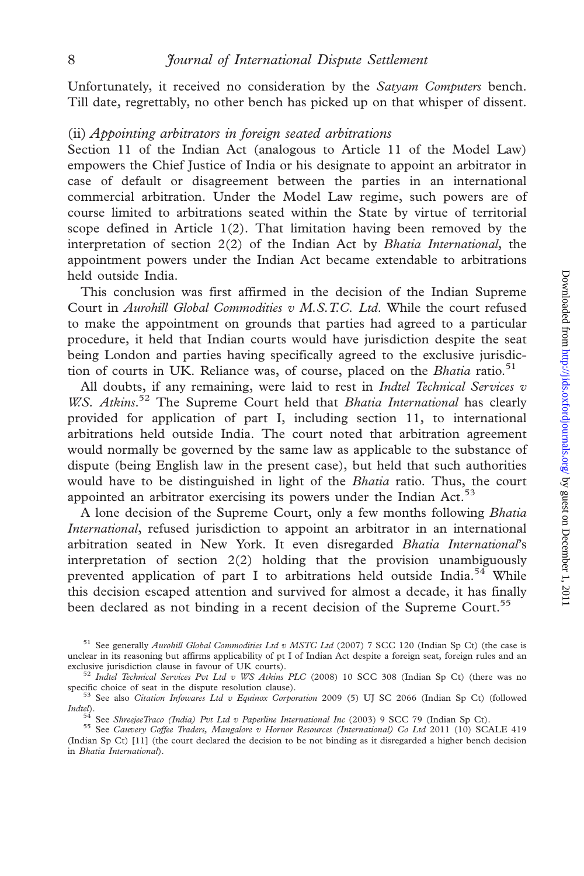Unfortunately, it received no consideration by the Satyam Computers bench. Till date, regrettably, no other bench has picked up on that whisper of dissent.

## (ii) Appointing arbitrators in foreign seated arbitrations

Section 11 of the Indian Act (analogous to Article 11 of the Model Law) empowers the Chief Justice of India or his designate to appoint an arbitrator in case of default or disagreement between the parties in an international commercial arbitration. Under the Model Law regime, such powers are of course limited to arbitrations seated within the State by virtue of territorial scope defined in Article 1(2). That limitation having been removed by the interpretation of section  $2(2)$  of the Indian Act by *Bhatia International*, the appointment powers under the Indian Act became extendable to arbitrations held outside India.

This conclusion was first affirmed in the decision of the Indian Supreme Court in Aurohill Global Commodities v M.S.T.C. Ltd. While the court refused to make the appointment on grounds that parties had agreed to a particular procedure, it held that Indian courts would have jurisdiction despite the seat being London and parties having specifically agreed to the exclusive jurisdiction of courts in UK. Reliance was, of course, placed on the *Bhatia* ratio.<sup>51</sup>

All doubts, if any remaining, were laid to rest in *Indtel Technical Services v* W.S. Atkins.<sup>52</sup> The Supreme Court held that Bhatia International has clearly provided for application of part I, including section 11, to international arbitrations held outside India. The court noted that arbitration agreement would normally be governed by the same law as applicable to the substance of dispute (being English law in the present case), but held that such authorities would have to be distinguished in light of the Bhatia ratio. Thus, the court appointed an arbitrator exercising its powers under the Indian Act.<sup>53</sup>

A lone decision of the Supreme Court, only a few months following Bhatia International, refused jurisdiction to appoint an arbitrator in an international arbitration seated in New York. It even disregarded Bhatia International's interpretation of section 2(2) holding that the provision unambiguously prevented application of part I to arbitrations held outside India.<sup>54</sup> While this decision escaped attention and survived for almost a decade, it has finally been declared as not binding in a recent decision of the Supreme Court.<sup>55</sup>

<sup>&</sup>lt;sup>51</sup> See generally Aurohill Global Commodities Ltd v MSTC Ltd (2007) 7 SCC 120 (Indian Sp Ct) (the case is unclear in its reasoning but affirms applicability of pt I of Indian Act despite a foreign seat, foreign rules and an exclusive jurisdiction clause in favour of UK courts).

exclusive jurisdiction contract in the contract of UKS Atkins PLC (2008) 10 SCC 308 (Indian Sp Ct) (there was no specific choice of seat in the dispute resolution clause).  $53$  See also Citation Infowares Ltd v Equinox Corporation 2009 (5) UJ SC 2066 (Indian Sp Ct) (followed

Indtel).<br><sup>54</sup> See ShreejeeTraco (India) Pvt Ltd v Paperline International Inc (2003) 9 SCC 79 (Indian Sp Ct).

<sup>55</sup> See Cauvery Coffee Traders, Mangalore v Hornor Resources (International) Co Ltd 2011 (10) SCALE 419 (Indian Sp Ct) [11] (the court declared the decision to be not binding as it disregarded a higher bench decision in Bhatia International).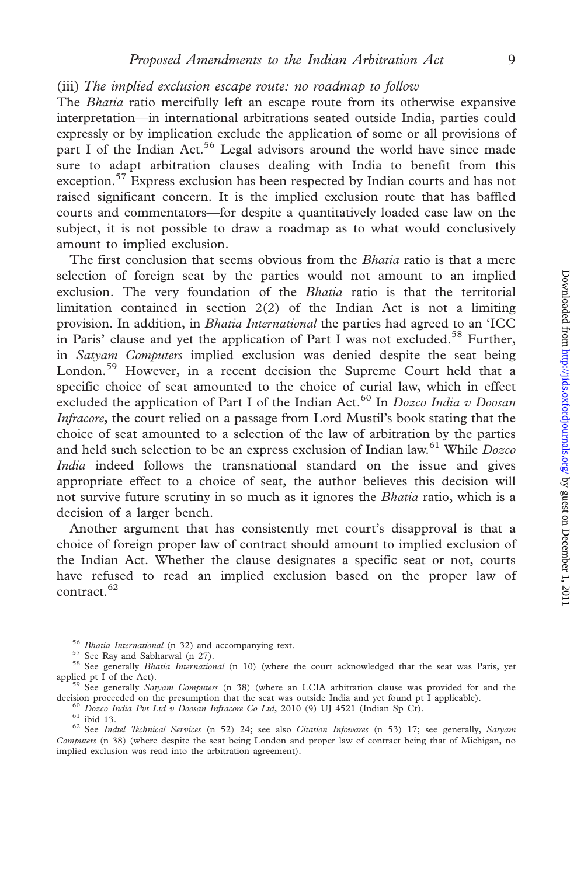## (iii) The implied exclusion escape route: no roadmap to follow

The Bhatia ratio mercifully left an escape route from its otherwise expansive interpretation—in international arbitrations seated outside India, parties could expressly or by implication exclude the application of some or all provisions of part I of the Indian Act.<sup>56</sup> Legal advisors around the world have since made sure to adapt arbitration clauses dealing with India to benefit from this exception.<sup>57</sup> Express exclusion has been respected by Indian courts and has not raised significant concern. It is the implied exclusion route that has baffled courts and commentators—for despite a quantitatively loaded case law on the subject, it is not possible to draw a roadmap as to what would conclusively amount to implied exclusion.

The first conclusion that seems obvious from the *Bhatia* ratio is that a mere selection of foreign seat by the parties would not amount to an implied exclusion. The very foundation of the *Bhatia* ratio is that the territorial limitation contained in section  $2(2)$  of the Indian Act is not a limiting provision. In addition, in Bhatia International the parties had agreed to an 'ICC in Paris' clause and yet the application of Part I was not excluded.<sup>58</sup> Further, in Satyam Computers implied exclusion was denied despite the seat being London.<sup>59</sup> However, in a recent decision the Supreme Court held that a specific choice of seat amounted to the choice of curial law, which in effect excluded the application of Part I of the Indian Act.<sup>60</sup> In *Dozco India v Doosan* Infracore, the court relied on a passage from Lord Mustil's book stating that the choice of seat amounted to a selection of the law of arbitration by the parties and held such selection to be an express exclusion of Indian law.<sup>61</sup> While  $Dozco$ India indeed follows the transnational standard on the issue and gives appropriate effect to a choice of seat, the author believes this decision will not survive future scrutiny in so much as it ignores the *Bhatia* ratio, which is a decision of a larger bench.

Another argument that has consistently met court's disapproval is that a choice of foreign proper law of contract should amount to implied exclusion of the Indian Act. Whether the clause designates a specific seat or not, courts have refused to read an implied exclusion based on the proper law of contract<sup>62</sup>

<sup>56</sup> Bhatia International (n 32) and accompanying text.<br><sup>57</sup> See Ray and Sabharwal (n 27).<br><sup>58</sup> See generally *Bhatia International* (n 10) (where the court acknowledged that the seat was Paris, yet<br>applied pt I of the Ac

<sup>59</sup> See generally Satyam Computers (n 38) (where an LCIA arbitration clause was provided for and the decision proceeded on the presumption that the seat was outside India and yet found pt I applicable).

<sup>60</sup> Dozco India Pvt Ltd v Doosan Infracore Co Ltd, 2010 (9) UJ 4521 (Indian Sp Ct).<br><sup>61</sup> ibid 13.<br><sup>62</sup> See *Indtel Technical Services* (n 52) 24; see also *Citation Infowares* (n 53) 17; see generally, *Satyam* Computers (n 38) (where despite the seat being London and proper law of contract being that of Michigan, no implied exclusion was read into the arbitration agreement).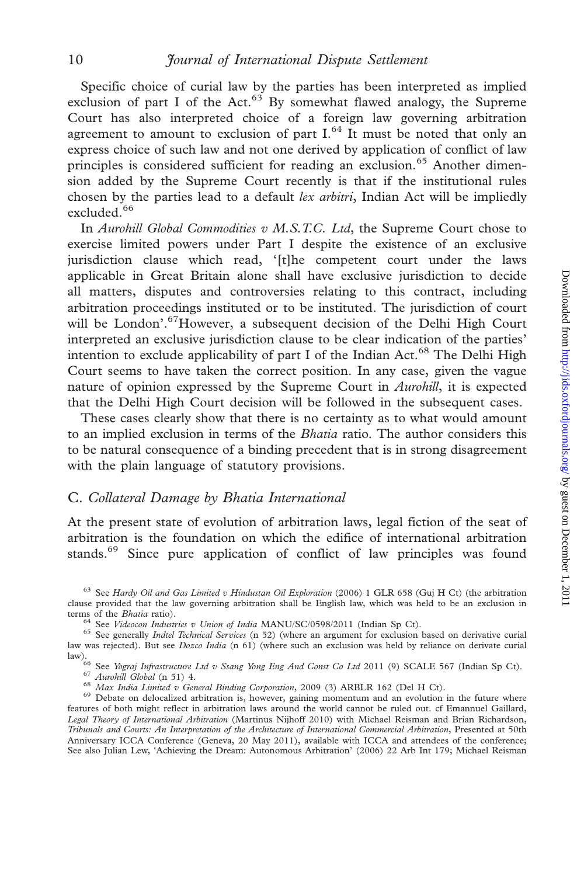Specific choice of curial law by the parties has been interpreted as implied exclusion of part I of the Act. $63$  By somewhat flawed analogy, the Supreme Court has also interpreted choice of a foreign law governing arbitration agreement to amount to exclusion of part  $I<sup>64</sup>$  It must be noted that only an express choice of such law and not one derived by application of conflict of law principles is considered sufficient for reading an exclusion.<sup>65</sup> Another dimension added by the Supreme Court recently is that if the institutional rules chosen by the parties lead to a default lex arbitri, Indian Act will be impliedly excluded.<sup>66</sup>

In Aurohill Global Commodities v M.S.T.C. Ltd, the Supreme Court chose to exercise limited powers under Part I despite the existence of an exclusive jurisdiction clause which read, '[t]he competent court under the laws applicable in Great Britain alone shall have exclusive jurisdiction to decide all matters, disputes and controversies relating to this contract, including arbitration proceedings instituted or to be instituted. The jurisdiction of court will be London'.<sup>67</sup>However, a subsequent decision of the Delhi High Court interpreted an exclusive jurisdiction clause to be clear indication of the parties' intention to exclude applicability of part I of the Indian Act.<sup>68</sup> The Delhi High Court seems to have taken the correct position. In any case, given the vague nature of opinion expressed by the Supreme Court in Aurohill, it is expected that the Delhi High Court decision will be followed in the subsequent cases.

These cases clearly show that there is no certainty as to what would amount to an implied exclusion in terms of the Bhatia ratio. The author considers this to be natural consequence of a binding precedent that is in strong disagreement with the plain language of statutory provisions.

## C. Collateral Damage by Bhatia International

At the present state of evolution of arbitration laws, legal fiction of the seat of arbitration is the foundation on which the edifice of international arbitration stands.<sup>69</sup> Since pure application of conflict of law principles was found

 $63$  See Hardy Oil and Gas Limited v Hindustan Oil Exploration (2006) 1 GLR 658 (Guj H Ct) (the arbitration clause provided that the law governing arbitration shall be English law, which was held to be an exclusion in terms of the Bhatia ratio).

<sup>&</sup>lt;sup>64</sup> See *Videocon Industries v Union of India MANU/SC/0598/2011* (Indian Sp Ct). <sup>65</sup> See generally *Indtel Technical Services* (n 52) (where an argument for exclusion based on derivative curial law was rejected). But see *Dozco India* (n 61) (where such an exclusion was held by reliance on derivate curial law).

The See Yograj Infrastructure Ltd v Ssang Yong Eng And Const Co Ltd 2011 (9) SCALE 567 (Indian Sp Ct).<br>
<sup>67</sup> Aurohill Global (n 51) 4.<br>
<sup>68</sup> Max India Limited v General Binding Corporation, 2009 (3) ARBLR 162 (Del H Ct).<br> features of both might reflect in arbitration laws around the world cannot be ruled out. cf Emannuel Gaillard, Legal Theory of International Arbitration (Martinus Nijhoff 2010) with Michael Reisman and Brian Richardson, Tribunals and Courts: An Interpretation of the Architecture of International Commercial Arbitration, Presented at 50th Anniversary ICCA Conference (Geneva, 20 May 2011), available with ICCA and attendees of the conference; See also Julian Lew, 'Achieving the Dream: Autonomous Arbitration' (2006) 22 Arb Int 179; Michael Reisman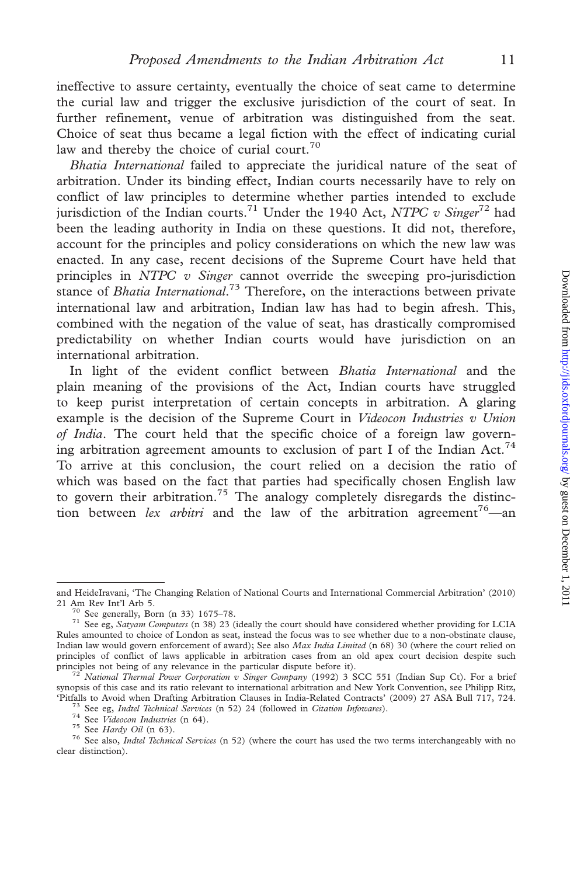ineffective to assure certainty, eventually the choice of seat came to determine the curial law and trigger the exclusive jurisdiction of the court of seat. In further refinement, venue of arbitration was distinguished from the seat. Choice of seat thus became a legal fiction with the effect of indicating curial law and thereby the choice of curial court.<sup>70</sup>

Bhatia International failed to appreciate the juridical nature of the seat of arbitration. Under its binding effect, Indian courts necessarily have to rely on conflict of law principles to determine whether parties intended to exclude jurisdiction of the Indian courts.<sup>71</sup> Under the 1940 Act, NTPC v Singer<sup>72</sup> had been the leading authority in India on these questions. It did not, therefore, account for the principles and policy considerations on which the new law was enacted. In any case, recent decisions of the Supreme Court have held that principles in NTPC  $v$  Singer cannot override the sweeping pro-jurisdiction stance of Bhatia International.<sup>73</sup> Therefore, on the interactions between private international law and arbitration, Indian law has had to begin afresh. This, combined with the negation of the value of seat, has drastically compromised predictability on whether Indian courts would have jurisdiction on an international arbitration.

In light of the evident conflict between Bhatia International and the plain meaning of the provisions of the Act, Indian courts have struggled to keep purist interpretation of certain concepts in arbitration. A glaring example is the decision of the Supreme Court in Videocon Industries v Union of India. The court held that the specific choice of a foreign law governing arbitration agreement amounts to exclusion of part I of the Indian Act.<sup>74</sup> To arrive at this conclusion, the court relied on a decision the ratio of which was based on the fact that parties had specifically chosen English law to govern their arbitration.<sup>75</sup> The analogy completely disregards the distinction between lex arbitri and the law of the arbitration agreement<sup>76</sup>—an

and HeideIravani, 'The Changing Relation of National Courts and International Commercial Arbitration' (2010)<br>21 Am Rev Int'l Arb 5.

<sup>&</sup>lt;sup>70</sup> See generally, Born (n 33) 1675–78.<br><sup>71</sup> See eg, Satyam Computers (n 38) 23 (ideally the court should have considered whether providing for LCIA Rules amounted to choice of London as seat, instead the focus was to see whether due to a non-obstinate clause, Indian law would govern enforcement of award); See also *Max India Limited* (n 68) 30 (where the court relied on principles of conflict of laws applicable in arbitration cases from an old apex court decision despite such principles not being of any relevance in the particular dispute before it).

National Thermal Power Corporation v Singer Company (1992) 3 SCC 551 (Indian Sup Ct). For a brief synopsis of this case and its ratio relevant to international arbitration and New York Convention, see Philipp Ritz, 'Pitfalls to Avoid when Drafting Arbitration Clauses in India-Related Contracts' (2009) 27 ASA Bull 717,

<sup>&</sup>lt;sup>73</sup> See eg, *Indtel Technical Services* (n 52) 24 (followed in *Citation Informates*).<br><sup>74</sup> See *Videocon Industries* (n 64).<br><sup>75</sup> See *Hardy Oil* (n 63).<br><sup>75</sup> See *Hardy Oil* (n 63).<br><sup>76</sup> See also, *Indtel Technical Ser* clear distinction).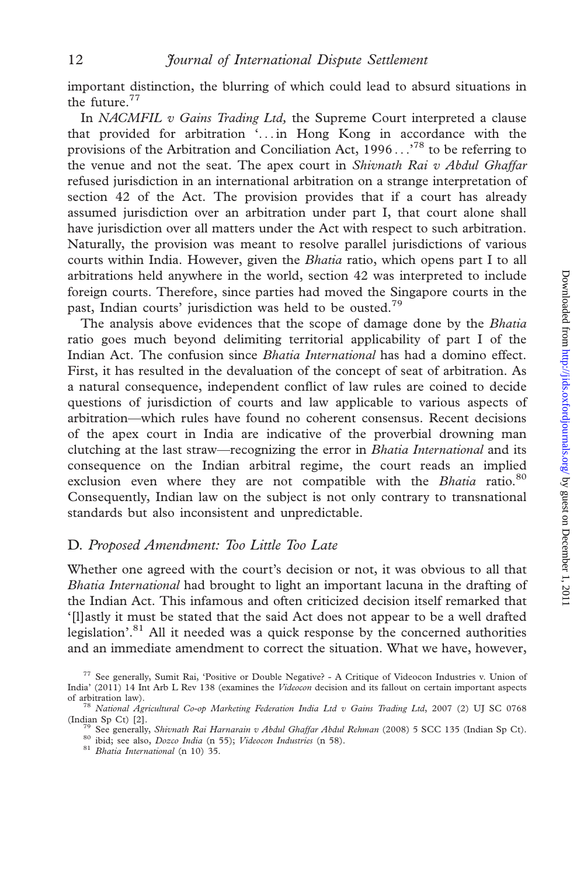important distinction, the blurring of which could lead to absurd situations in the future.<sup>77</sup>

In NACMFIL  $v$  Gains Trading Ltd, the Supreme Court interpreted a clause that provided for arbitration '... in Hong Kong in accordance with the provisions of the Arbitration and Conciliation Act, 1996...<sup>78</sup> to be referring to the venue and not the seat. The apex court in Shivnath Rai v Abdul Ghaffar refused jurisdiction in an international arbitration on a strange interpretation of section 42 of the Act. The provision provides that if a court has already assumed jurisdiction over an arbitration under part I, that court alone shall have jurisdiction over all matters under the Act with respect to such arbitration. Naturally, the provision was meant to resolve parallel jurisdictions of various courts within India. However, given the Bhatia ratio, which opens part I to all arbitrations held anywhere in the world, section 42 was interpreted to include foreign courts. Therefore, since parties had moved the Singapore courts in the past, Indian courts' jurisdiction was held to be ousted.<sup>79</sup>

The analysis above evidences that the scope of damage done by the *Bhatia* ratio goes much beyond delimiting territorial applicability of part I of the Indian Act. The confusion since Bhatia International has had a domino effect. First, it has resulted in the devaluation of the concept of seat of arbitration. As a natural consequence, independent conflict of law rules are coined to decide questions of jurisdiction of courts and law applicable to various aspects of arbitration—which rules have found no coherent consensus. Recent decisions of the apex court in India are indicative of the proverbial drowning man clutching at the last straw—recognizing the error in Bhatia International and its consequence on the Indian arbitral regime, the court reads an implied exclusion even where they are not compatible with the Bhatia ratio. $80$ Consequently, Indian law on the subject is not only contrary to transnational standards but also inconsistent and unpredictable.

## D. Proposed Amendment: Too Little Too Late

Whether one agreed with the court's decision or not, it was obvious to all that Bhatia International had brought to light an important lacuna in the drafting of the Indian Act. This infamous and often criticized decision itself remarked that '[l]astly it must be stated that the said Act does not appear to be a well drafted legislation'.<sup>81</sup> All it needed was a quick response by the concerned authorities and an immediate amendment to correct the situation. What we have, however,

- <sup>79</sup> See generally, Shivnath Rai Harnarain v Abdul Ghaffar Abdul Rehman (2008) 5 SCC 135 (Indian Sp Ct). <sup>80</sup> ibid; see also, *Dozco India* (n 55); *Videocon Industries* (n 58). <sup>81</sup> Bhatia International (n 10) 35.
- 

<sup>77</sup> See generally, Sumit Rai, 'Positive or Double Negative? - A Critique of Videocon Industries v. Union of India' (2011) 14 Int Arb L Rev 138 (examines the *Videocon* decision and its fallout on certain important aspects of arbitration law).

<sup>&</sup>lt;sup>78</sup> National Agricultural Co-op Marketing Federation India Ltd v Gains Trading Ltd, 2007 (2) UJ SC 0768<br>(Indian Sp Ct) [2].<br><sup>79</sup> See cancelly, Shimath Bri Hamaniky and Ltd Charles did the Pacis (2008) 5.000 135.0 King Och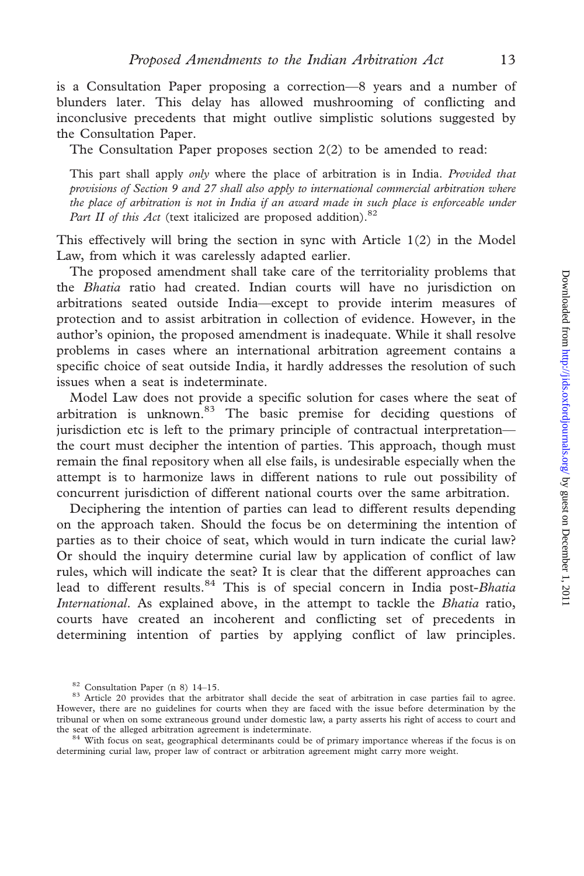is a Consultation Paper proposing a correction—8 years and a number of blunders later. This delay has allowed mushrooming of conflicting and inconclusive precedents that might outlive simplistic solutions suggested by the Consultation Paper.

The Consultation Paper proposes section 2(2) to be amended to read:

This part shall apply only where the place of arbitration is in India. Provided that provisions of Section 9 and 27 shall also apply to international commercial arbitration where the place of arbitration is not in India if an award made in such place is enforceable under Part II of this Act (text italicized are proposed addition).  $82$ 

This effectively will bring the section in sync with Article 1(2) in the Model Law, from which it was carelessly adapted earlier.

The proposed amendment shall take care of the territoriality problems that the Bhatia ratio had created. Indian courts will have no jurisdiction on arbitrations seated outside India—except to provide interim measures of protection and to assist arbitration in collection of evidence. However, in the author's opinion, the proposed amendment is inadequate. While it shall resolve problems in cases where an international arbitration agreement contains a specific choice of seat outside India, it hardly addresses the resolution of such issues when a seat is indeterminate.

Model Law does not provide a specific solution for cases where the seat of arbitration is unknown. $83$  The basic premise for deciding questions of jurisdiction etc is left to the primary principle of contractual interpretation the court must decipher the intention of parties. This approach, though must remain the final repository when all else fails, is undesirable especially when the attempt is to harmonize laws in different nations to rule out possibility of concurrent jurisdiction of different national courts over the same arbitration.

Deciphering the intention of parties can lead to different results depending on the approach taken. Should the focus be on determining the intention of parties as to their choice of seat, which would in turn indicate the curial law? Or should the inquiry determine curial law by application of conflict of law rules, which will indicate the seat? It is clear that the different approaches can lead to different results.<sup>84</sup> This is of special concern in India post-Bhatia International. As explained above, in the attempt to tackle the Bhatia ratio, courts have created an incoherent and conflicting set of precedents in determining intention of parties by applying conflict of law principles.

 $82$  Consultation Paper (n 8) 14–15.<br> $83$  Article 20 provides that the arbitrator shall decide the seat of arbitration in case parties fail to agree. However, there are no guidelines for courts when they are faced with the issue before determination by the tribunal or when on some extraneous ground under domestic law, a party asserts his right of access to court and

<sup>&</sup>lt;sup>84</sup> With focus on seat, geographical determinants could be of primary importance whereas if the focus is on determining curial law, proper law of contract or arbitration agreement might carry more weight.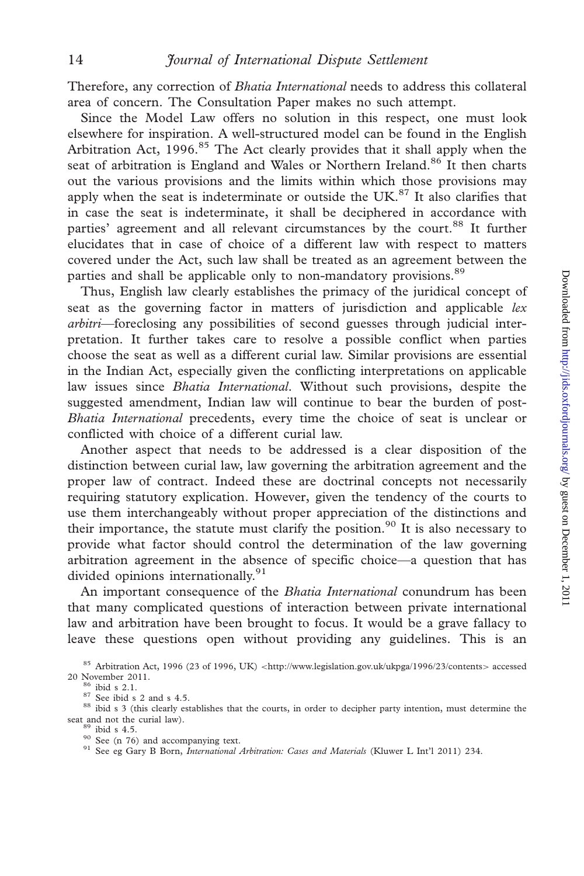Therefore, any correction of Bhatia International needs to address this collateral area of concern. The Consultation Paper makes no such attempt.

Since the Model Law offers no solution in this respect, one must look elsewhere for inspiration. A well-structured model can be found in the English Arbitration Act,  $1996$ .<sup>85</sup> The Act clearly provides that it shall apply when the seat of arbitration is England and Wales or Northern Ireland.<sup>86</sup> It then charts out the various provisions and the limits within which those provisions may apply when the seat is indeterminate or outside the UK. $^{87}$  It also clarifies that in case the seat is indeterminate, it shall be deciphered in accordance with parties' agreement and all relevant circumstances by the court.<sup>88</sup> It further elucidates that in case of choice of a different law with respect to matters covered under the Act, such law shall be treated as an agreement between the parties and shall be applicable only to non-mandatory provisions.<sup>89</sup>

Thus, English law clearly establishes the primacy of the juridical concept of seat as the governing factor in matters of jurisdiction and applicable lex arbitri—foreclosing any possibilities of second guesses through judicial interpretation. It further takes care to resolve a possible conflict when parties choose the seat as well as a different curial law. Similar provisions are essential in the Indian Act, especially given the conflicting interpretations on applicable law issues since Bhatia International. Without such provisions, despite the suggested amendment, Indian law will continue to bear the burden of post-Bhatia International precedents, every time the choice of seat is unclear or conflicted with choice of a different curial law.

Another aspect that needs to be addressed is a clear disposition of the distinction between curial law, law governing the arbitration agreement and the proper law of contract. Indeed these are doctrinal concepts not necessarily requiring statutory explication. However, given the tendency of the courts to use them interchangeably without proper appreciation of the distinctions and their importance, the statute must clarify the position.<sup>90</sup> It is also necessary to provide what factor should control the determination of the law governing arbitration agreement in the absence of specific choice—a question that has divided opinions internationally.<sup>91</sup>

An important consequence of the Bhatia International conundrum has been that many complicated questions of interaction between private international law and arbitration have been brought to focus. It would be a grave fallacy to leave these questions open without providing any guidelines. This is an

<sup>&</sup>lt;sup>85</sup> Arbitration Act, 1996 (23 of 1996, UK) <<http://www.legislation.gov.uk/ukpga/1996/23/contents>> accessed 20 November 2011.

<sup>&</sup>lt;sup>86</sup> ibid s 2.1.<br><sup>87</sup> See ibid s 2 and s 4.5.<br><sup>88</sup> ibid s 3 (this clearly establishes that the courts, in order to decipher party intention, must determine the<br>sea and not the curial law).<br><sup>89</sup> ibid s 4.5.

<sup>&</sup>lt;sup>90</sup> See (n 76) and accompanying text. <sup>91</sup> See eg Gary B Born, *International Arbitration: Cases and Materials* (Kluwer L Int'l 2011) 234.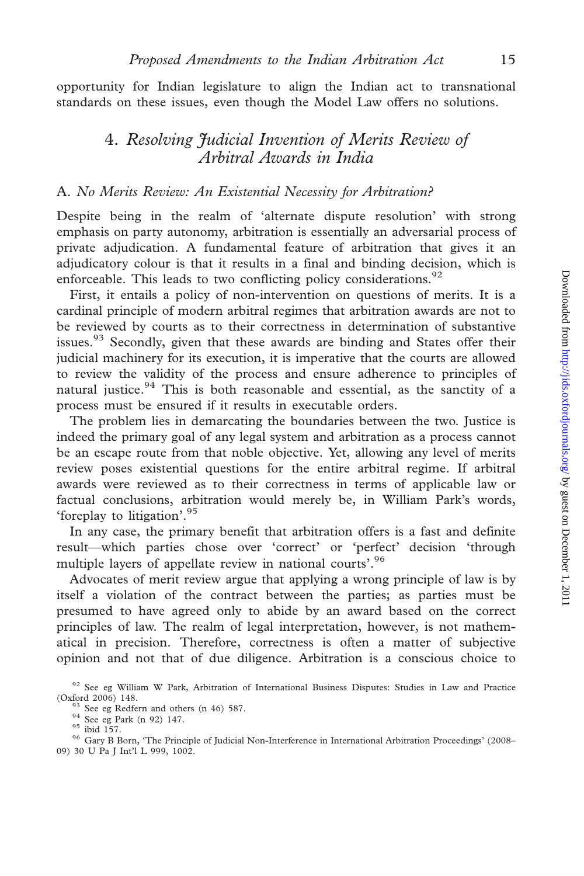opportunity for Indian legislature to align the Indian act to transnational standards on these issues, even though the Model Law offers no solutions.

# 4. Resolving Judicial Invention of Merits Review of Arbitral Awards in India

## A. No Merits Review: An Existential Necessity for Arbitration?

Despite being in the realm of 'alternate dispute resolution' with strong emphasis on party autonomy, arbitration is essentially an adversarial process of private adjudication. A fundamental feature of arbitration that gives it an adjudicatory colour is that it results in a final and binding decision, which is enforceable. This leads to two conflicting policy considerations.<sup>92</sup>

First, it entails a policy of non-intervention on questions of merits. It is a cardinal principle of modern arbitral regimes that arbitration awards are not to be reviewed by courts as to their correctness in determination of substantive issues.  $93$  Secondly, given that these awards are binding and States offer their judicial machinery for its execution, it is imperative that the courts are allowed to review the validity of the process and ensure adherence to principles of natural justice.  $94$  This is both reasonable and essential, as the sanctity of a process must be ensured if it results in executable orders.

The problem lies in demarcating the boundaries between the two. Justice is indeed the primary goal of any legal system and arbitration as a process cannot be an escape route from that noble objective. Yet, allowing any level of merits review poses existential questions for the entire arbitral regime. If arbitral awards were reviewed as to their correctness in terms of applicable law or factual conclusions, arbitration would merely be, in William Park's words, 'foreplay to litigation'.<sup>95</sup>

In any case, the primary benefit that arbitration offers is a fast and definite result—which parties chose over 'correct' or 'perfect' decision 'through multiple layers of appellate review in national courts'.<sup>96</sup>

Advocates of merit review argue that applying a wrong principle of law is by itself a violation of the contract between the parties; as parties must be presumed to have agreed only to abide by an award based on the correct principles of law. The realm of legal interpretation, however, is not mathematical in precision. Therefore, correctness is often a matter of subjective opinion and not that of due diligence. Arbitration is a conscious choice to

 $92$  See eg William W Park, Arbitration of International Business Disputes: Studies in Law and Practice (Oxford 2006) 148.

<sup>&</sup>lt;sup>93</sup> See eg Redfern and others (n 46) 587.<br><sup>94</sup> See eg Park (n 92) 147.<br><sup>95</sup> ibid 157.<br><sup>96</sup> Gary B Born, 'The Principle of Judicial Non-Interference in International Arbitration Proceedings' (2008– 09) 30 U Pa J Int'l L 999, 1002.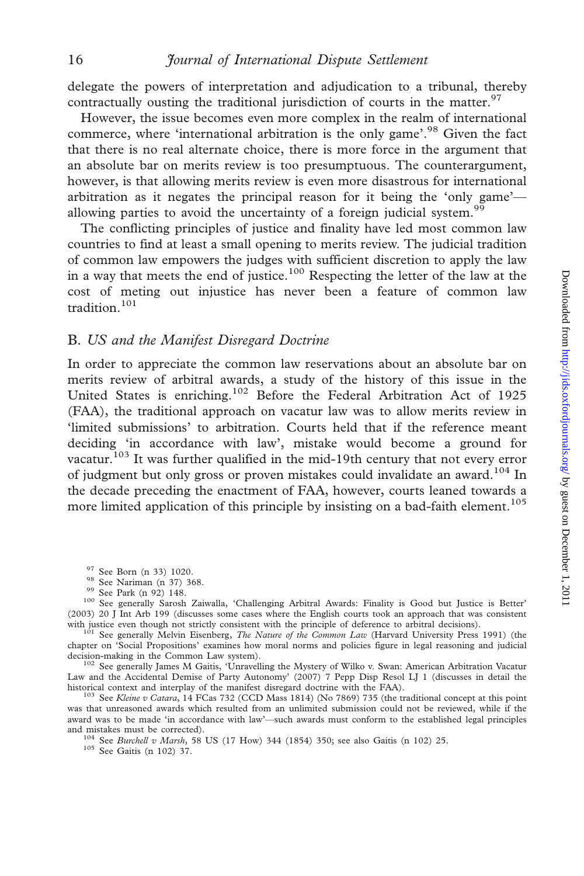delegate the powers of interpretation and adjudication to a tribunal, thereby contractually ousting the traditional jurisdiction of courts in the matter.<sup>97</sup>

However, the issue becomes even more complex in the realm of international commerce, where 'international arbitration is the only game'.<sup>98</sup> Given the fact that there is no real alternate choice, there is more force in the argument that an absolute bar on merits review is too presumptuous. The counterargument, however, is that allowing merits review is even more disastrous for international arbitration as it negates the principal reason for it being the 'only game' allowing parties to avoid the uncertainty of a foreign judicial system.<sup>99</sup>

The conflicting principles of justice and finality have led most common law countries to find at least a small opening to merits review. The judicial tradition of common law empowers the judges with sufficient discretion to apply the law in a way that meets the end of justice.<sup>100</sup> Respecting the letter of the law at the cost of meting out injustice has never been a feature of common law tradition.<sup>101</sup>

## B. US and the Manifest Disregard Doctrine

In order to appreciate the common law reservations about an absolute bar on merits review of arbitral awards, a study of the history of this issue in the United States is enriching.<sup>102</sup> Before the Federal Arbitration Act of 1925 (FAA), the traditional approach on vacatur law was to allow merits review in 'limited submissions' to arbitration. Courts held that if the reference meant deciding 'in accordance with law', mistake would become a ground for vacatur.<sup>103</sup> It was further qualified in the mid-19th century that not every error of judgment but only gross or proven mistakes could invalidate an award.<sup>104</sup> In the decade preceding the enactment of FAA, however, courts leaned towards a more limited application of this principle by insisting on a bad-faith element.<sup>105</sup>

<sup>97</sup> See Born (n 33) 1020.<br><sup>98</sup> See Nariman (n 37) 368.<br><sup>99</sup> See Park (n 92) 148.<br><sup>100</sup> See generally Sarosh Zaiwalla, 'Challenging Arbitral Awards: Finality is Good but Justice is Better' (2003) 20 J Int Arb 199 (discusses some cases where the English courts took an approach that was consistent

<sup>101</sup> See generally Melvin Eisenberg, The Nature of the Common Law (Harvard University Press 1991) (the chapter on 'Social Propositions' examines how moral norms and policies figure in legal reasoning and judicial decision-making in the Common Law system).<br><sup>102</sup> See generally James M Gaitis, 'Unravelling the Mystery of Wilko v. Swan: American Arbitration Vacatur

Law and the Accidental Demise of Party Autonomy' (2007) 7 Pepp Disp Resol LJ 1 (discusses in detail the historical context and interplay of the manifest disregard doctrine with the FAA).<br><sup>103</sup> See *Kleine v Catara*, 14 FCas 732 (CCD Mass 1814) (No 7869) 735 (the traditional concept at this point

was that unreasoned awards which resulted from an unlimited submission could not be reviewed, while if the award was to be made 'in accordance with law'—such awards must conform to the established legal principles and mistakes must be corrected).

<sup>104</sup> See *Burchell v Marsh*, 58 US (17 How) 344 (1854) 350; see also Gaitis (n 102) 25. <sup>105</sup> See Gaitis (n 102) 37.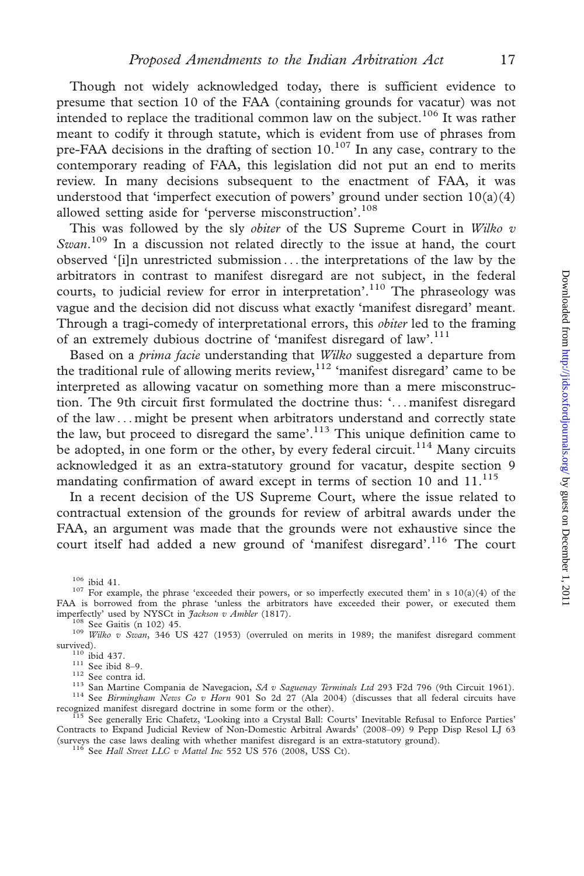Though not widely acknowledged today, there is sufficient evidence to presume that section 10 of the FAA (containing grounds for vacatur) was not intended to replace the traditional common law on the subject.<sup>106</sup> It was rather meant to codify it through statute, which is evident from use of phrases from pre-FAA decisions in the drafting of section  $10^{107}$  In any case, contrary to the contemporary reading of FAA, this legislation did not put an end to merits review. In many decisions subsequent to the enactment of FAA, it was understood that 'imperfect execution of powers' ground under section  $10(a)(4)$ allowed setting aside for 'perverse misconstruction'.<sup>108</sup>

This was followed by the sly *obiter* of the US Supreme Court in Wilko v Swan.<sup>109</sup> In a discussion not related directly to the issue at hand, the court observed '[i]n unrestricted submission ... the interpretations of the law by the arbitrators in contrast to manifest disregard are not subject, in the federal courts, to judicial review for error in interpretation'.<sup>110</sup> The phraseology was vague and the decision did not discuss what exactly 'manifest disregard' meant. Through a tragi-comedy of interpretational errors, this *obiter* led to the framing of an extremely dubious doctrine of 'manifest disregard of law'.<sup>111</sup>

Based on a prima facie understanding that Wilko suggested a departure from the traditional rule of allowing merits review, $112$  'manifest disregard' came to be interpreted as allowing vacatur on something more than a mere misconstruction. The 9th circuit first formulated the doctrine thus: '... manifest disregard of the law ... might be present when arbitrators understand and correctly state the law, but proceed to disregard the same'.<sup>113</sup> This unique definition came to be adopted, in one form or the other, by every federal circuit.<sup>114</sup> Many circuits acknowledged it as an extra-statutory ground for vacatur, despite section 9 mandating confirmation of award except in terms of section 10 and  $11^{115}$ 

In a recent decision of the US Supreme Court, where the issue related to contractual extension of the grounds for review of arbitral awards under the FAA, an argument was made that the grounds were not exhaustive since the court itself had added a new ground of 'manifest disregard'.<sup>116</sup> The court

<sup>110</sup> ibid 437.<br>
<sup>111</sup> See ibid 8–9.<br>
<sup>112</sup> See contra id.<br>
<sup>112</sup> See contra id.<br>
<sup>113</sup> San Martine Compania de Navegacion, *SA v Saguenay Terminals Ltd* 293 F2d 796 (9th Circuit 1961).<br>
<sup>114</sup> See *Birmingham News Co v Hor* recognized manifest disregard doctrine in some form or the other). <sup>115</sup> See generally Eric Chafetz, 'Looking into a Crystal Ball: Courts' Inevitable Refusal to Enforce Parties'

Contracts to Expand Judicial Review of Non-Domestic Arbitral Awards' (2008–09) 9 Pepp Disp Resol LJ 63 (surveys the case laws dealing with whether manifest disregard is an extra-statutory ground).  $116$  See Hall Street LLC v Mattel Inc 552 US 576 (2008, USS Ct).

<sup>&</sup>lt;sup>106</sup> ibid 41.<br><sup>107</sup> For example, the phrase 'exceeded their powers, or so imperfectly executed them' in s 10(a)(4) of the FAA is borrowed from the phrase 'unless the arbitrators have exceeded their power, or executed them imperfectly' used by NYSCt in  $\mathcal{F}_{ackson} \ v \ \mathcal{A}mbler$  (1817).

<sup>&</sup>lt;sup>108</sup> See Gaitis (n 102) 45. <sup>109</sup> Wilko v Swan, 346 US 427 (1953) (overruled on merits in 1989; the manifest disregard comment survived).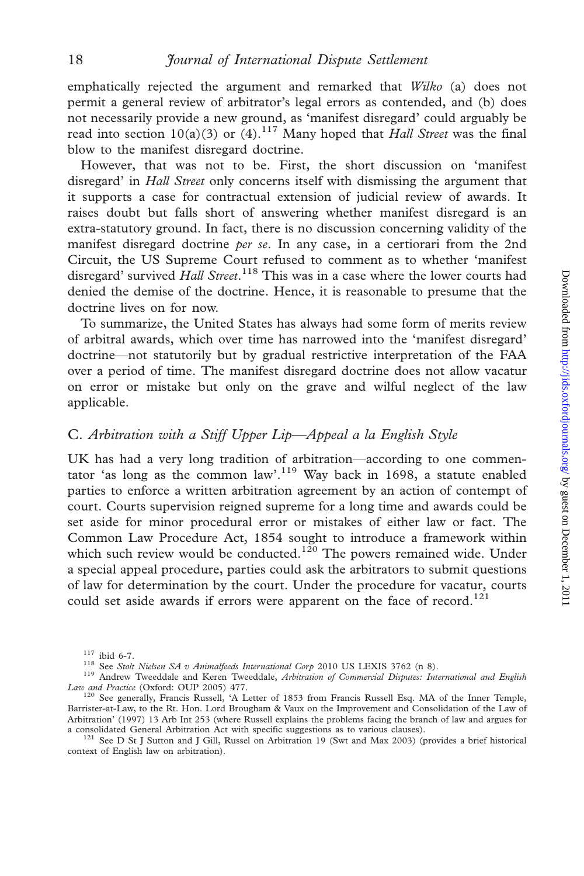emphatically rejected the argument and remarked that Wilko (a) does not permit a general review of arbitrator's legal errors as contended, and (b) does not necessarily provide a new ground, as 'manifest disregard' could arguably be read into section 10(a)(3) or (4).<sup>117</sup> Many hoped that *Hall Street* was the final blow to the manifest disregard doctrine.

However, that was not to be. First, the short discussion on 'manifest disregard' in *Hall Street* only concerns itself with dismissing the argument that it supports a case for contractual extension of judicial review of awards. It raises doubt but falls short of answering whether manifest disregard is an extra-statutory ground. In fact, there is no discussion concerning validity of the manifest disregard doctrine per se. In any case, in a certiorari from the 2nd Circuit, the US Supreme Court refused to comment as to whether 'manifest disregard' survived Hall Street.<sup>118</sup> This was in a case where the lower courts had denied the demise of the doctrine. Hence, it is reasonable to presume that the doctrine lives on for now.

To summarize, the United States has always had some form of merits review of arbitral awards, which over time has narrowed into the 'manifest disregard' doctrine—not statutorily but by gradual restrictive interpretation of the FAA over a period of time. The manifest disregard doctrine does not allow vacatur on error or mistake but only on the grave and wilful neglect of the law applicable.

## C. Arbitration with a Stiff Upper Lip—Appeal a la English Style

UK has had a very long tradition of arbitration—according to one commentator 'as long as the common law'.<sup>119</sup> Way back in 1698, a statute enabled parties to enforce a written arbitration agreement by an action of contempt of court. Courts supervision reigned supreme for a long time and awards could be set aside for minor procedural error or mistakes of either law or fact. The Common Law Procedure Act, 1854 sought to introduce a framework within which such review would be conducted.<sup>120</sup> The powers remained wide. Under a special appeal procedure, parties could ask the arbitrators to submit questions of law for determination by the court. Under the procedure for vacatur, courts could set aside awards if errors were apparent on the face of record.<sup>121</sup>

<sup>&</sup>lt;sup>117</sup> ibid 6-7.<br><sup>118</sup> See *Stolt Nielsen SA v Animalfeeds International Corp 2010* US LEXIS 3762 (n 8).<br><sup>119</sup> Andrew Tweeddale and Keren Tweeddale, *Arbitration of Commercial Disputes: International and English* Law and Practice (Oxford: OUP 2005) 477. <sup>120</sup> See generally, Francis Russell, 'A Letter of 1853 from Francis Russell Esq. MA of the Inner Temple,

Barrister-at-Law, to the Rt. Hon. Lord Brougham & Vaux on the Improvement and Consolidation of the Law of Arbitration' (1997) 13 Arb Int 253 (where Russell explains the problems facing the branch of law and argues for

<sup>&</sup>lt;sup>121</sup> See D St J Sutton and J Gill, Russel on Arbitration 19 (Swt and Max 2003) (provides a brief historical context of English law on arbitration).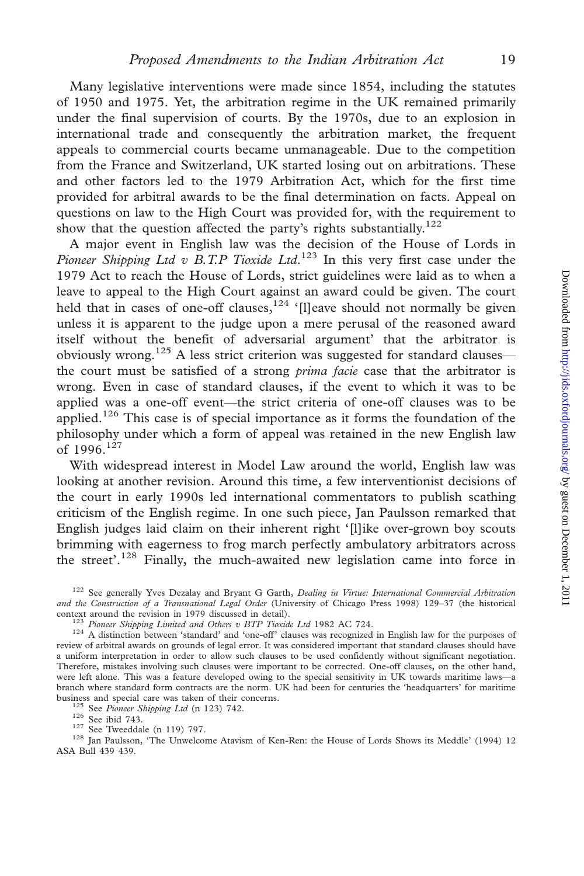Many legislative interventions were made since 1854, including the statutes of 1950 and 1975. Yet, the arbitration regime in the UK remained primarily under the final supervision of courts. By the 1970s, due to an explosion in international trade and consequently the arbitration market, the frequent appeals to commercial courts became unmanageable. Due to the competition from the France and Switzerland, UK started losing out on arbitrations. These and other factors led to the 1979 Arbitration Act, which for the first time provided for arbitral awards to be the final determination on facts. Appeal on questions on law to the High Court was provided for, with the requirement to show that the question affected the party's rights substantially.<sup>122</sup>

A major event in English law was the decision of the House of Lords in Pioneer Shipping Ltd v B.T.P Tioxide Ltd.<sup>123</sup> In this very first case under the 1979 Act to reach the House of Lords, strict guidelines were laid as to when a leave to appeal to the High Court against an award could be given. The court held that in cases of one-off clauses,  $124$  '[l]eave should not normally be given unless it is apparent to the judge upon a mere perusal of the reasoned award itself without the benefit of adversarial argument' that the arbitrator is obviously wrong.<sup>125</sup> A less strict criterion was suggested for standard clauses the court must be satisfied of a strong *prima facie* case that the arbitrator is wrong. Even in case of standard clauses, if the event to which it was to be applied was a one-off event—the strict criteria of one-off clauses was to be applied.<sup>126</sup> This case is of special importance as it forms the foundation of the philosophy under which a form of appeal was retained in the new English law of  $1996$ <sup>127</sup>

With widespread interest in Model Law around the world, English law was looking at another revision. Around this time, a few interventionist decisions of the court in early 1990s led international commentators to publish scathing criticism of the English regime. In one such piece, Jan Paulsson remarked that English judges laid claim on their inherent right '[l]ike over-grown boy scouts brimming with eagerness to frog march perfectly ambulatory arbitrators across the street'.<sup>128</sup> Finally, the much-awaited new legislation came into force in

<sup>122</sup> See generally Yves Dezalay and Bryant G Garth, *Dealing in Virtue: International Commercial Arbitration* and the Construction of a Transnational Legal Order (University of Chicago Press 1998) 129-37 (the historical context around the revision in 1979 discussed in detail).

<sup>125</sup> See Pioneer Shipping Ltd (n 123) 742.<br><sup>126</sup> See ibid 743.<br><sup>127</sup> See Tweeddale (n 119) 797.<br><sup>128</sup> Jan Paulsson, 'The Unwelcome Atavism of Ken-Ren: the House of Lords Shows its Meddle' (1994) 12 ASA Bull 439 439.

<sup>&</sup>lt;sup>123</sup> Pioneer Shipping Limited and Others v BTP Tioxide Ltd 1982 AC 724.<br><sup>124</sup> A distinction between 'standard' and 'one-off' clauses was recognized in English law for the purposes of review of arbitral awards on grounds of legal error. It was considered important that standard clauses should have a uniform interpretation in order to allow such clauses to be used confidently without significant negotiation. Therefore, mistakes involving such clauses were important to be corrected. One-off clauses, on the other hand, were left alone. This was a feature developed owing to the special sensitivity in UK towards maritime laws—a branch where standard form contracts are the norm. UK had been for centuries the 'headquarters' for maritime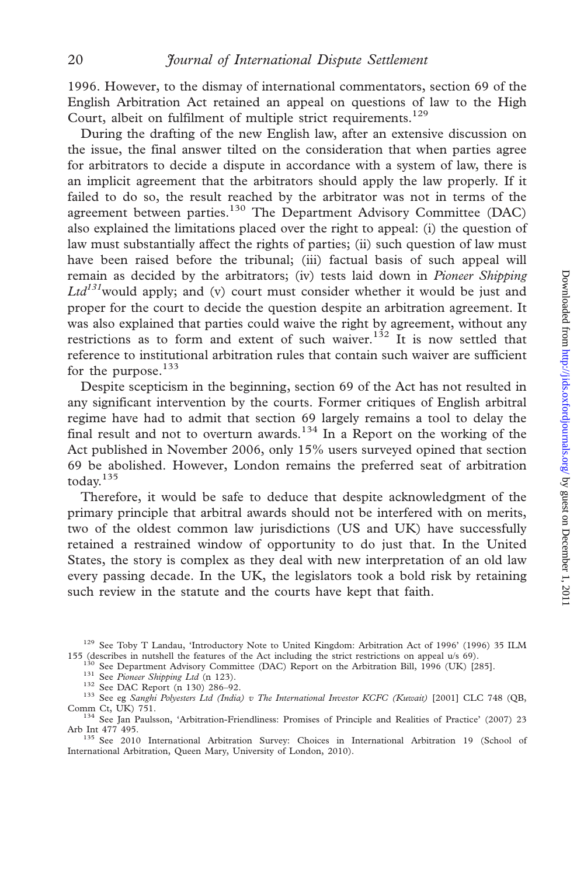1996. However, to the dismay of international commentators, section 69 of the English Arbitration Act retained an appeal on questions of law to the High Court, albeit on fulfilment of multiple strict requirements.<sup>129</sup>

During the drafting of the new English law, after an extensive discussion on the issue, the final answer tilted on the consideration that when parties agree for arbitrators to decide a dispute in accordance with a system of law, there is an implicit agreement that the arbitrators should apply the law properly. If it failed to do so, the result reached by the arbitrator was not in terms of the agreement between parties. $130$  The Department Advisory Committee (DAC) also explained the limitations placed over the right to appeal: (i) the question of law must substantially affect the rights of parties; (ii) such question of law must have been raised before the tribunal; (iii) factual basis of such appeal will remain as decided by the arbitrators; (iv) tests laid down in *Pioneer Shipping* Ltd<sup>131</sup>would apply; and (v) court must consider whether it would be just and proper for the court to decide the question despite an arbitration agreement. It was also explained that parties could waive the right by agreement, without any restrictions as to form and extent of such waiver.<sup>132</sup> It is now settled that reference to institutional arbitration rules that contain such waiver are sufficient for the purpose.<sup>133</sup>

Despite scepticism in the beginning, section 69 of the Act has not resulted in any significant intervention by the courts. Former critiques of English arbitral regime have had to admit that section 69 largely remains a tool to delay the final result and not to overturn awards.<sup>134</sup> In a Report on the working of the Act published in November 2006, only 15% users surveyed opined that section 69 be abolished. However, London remains the preferred seat of arbitration today.<sup>135</sup>

Therefore, it would be safe to deduce that despite acknowledgment of the primary principle that arbitral awards should not be interfered with on merits, two of the oldest common law jurisdictions (US and UK) have successfully retained a restrained window of opportunity to do just that. In the United States, the story is complex as they deal with new interpretation of an old law every passing decade. In the UK, the legislators took a bold risk by retaining such review in the statute and the courts have kept that faith.

<sup>129</sup> See Toby T Landau, 'Introductory Note to United Kingdom: Arbitration Act of 1996' (1996) 35 ILM

155 (describes in nutshell the features of the Act including the strict restrictions on appeal  $u/s$  69).<br><sup>130</sup> See Department Advisory Committee (DAC) Report on the Arbitration Bill, 1996 (UK) [285].<br><sup>131</sup> See Pioneer Shi

Comm Ct, UK) 751.<br><sup>134</sup> See Jan Paulsson, 'Arbitration-Friendliness: Promises of Principle and Realities of Practice' (2007) 23<br>Arb Int 477 495.

<sup>&</sup>lt;sup>135</sup> See 2010 International Arbitration Survey: Choices in International Arbitration 19 (School of International Arbitration, Queen Mary, University of London, 2010).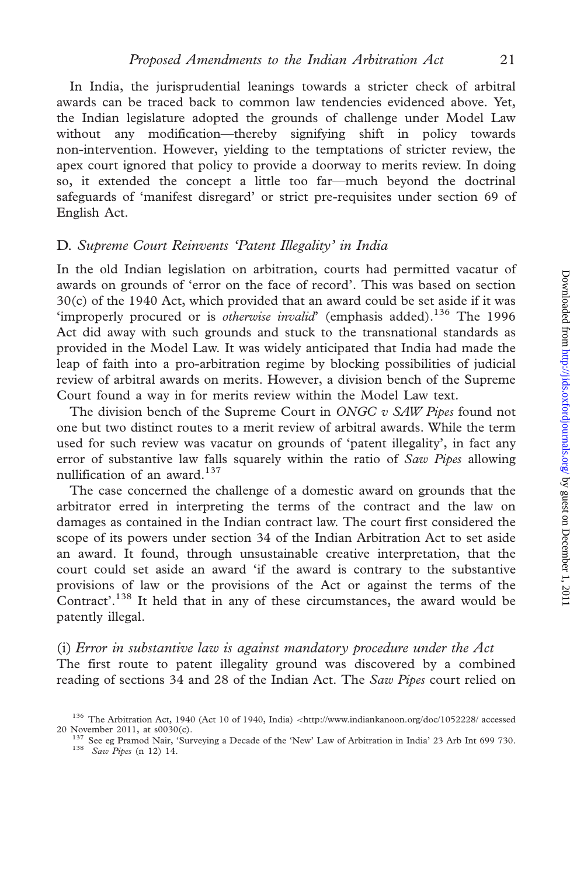In India, the jurisprudential leanings towards a stricter check of arbitral awards can be traced back to common law tendencies evidenced above. Yet, the Indian legislature adopted the grounds of challenge under Model Law without any modification—thereby signifying shift in policy towards non-intervention. However, yielding to the temptations of stricter review, the apex court ignored that policy to provide a doorway to merits review. In doing so, it extended the concept a little too far—much beyond the doctrinal safeguards of 'manifest disregard' or strict pre-requisites under section 69 of English Act.

#### D. Supreme Court Reinvents 'Patent Illegality' in India

In the old Indian legislation on arbitration, courts had permitted vacatur of awards on grounds of 'error on the face of record'. This was based on section 30(c) of the 1940 Act, which provided that an award could be set aside if it was 'improperly procured or is otherwise invalid' (emphasis added).<sup>136</sup> The 1996 Act did away with such grounds and stuck to the transnational standards as provided in the Model Law. It was widely anticipated that India had made the leap of faith into a pro-arbitration regime by blocking possibilities of judicial review of arbitral awards on merits. However, a division bench of the Supreme Court found a way in for merits review within the Model Law text.

The division bench of the Supreme Court in ONGC v SAW Pipes found not one but two distinct routes to a merit review of arbitral awards. While the term used for such review was vacatur on grounds of 'patent illegality', in fact any error of substantive law falls squarely within the ratio of Saw Pipes allowing nullification of an award. $137$ 

The case concerned the challenge of a domestic award on grounds that the arbitrator erred in interpreting the terms of the contract and the law on damages as contained in the Indian contract law. The court first considered the scope of its powers under section 34 of the Indian Arbitration Act to set aside an award. It found, through unsustainable creative interpretation, that the court could set aside an award 'if the award is contrary to the substantive provisions of law or the provisions of the Act or against the terms of the Contract'.<sup>138</sup> It held that in any of these circumstances, the award would be patently illegal.

#### (i) Error in substantive law is against mandatory procedure under the Act

The first route to patent illegality ground was discovered by a combined reading of sections 34 and 28 of the Indian Act. The Saw Pipes court relied on

<sup>&</sup>lt;sup>136</sup> The Arbitration Act, 1940 (Act 10 of 1940, India) <<http://www.indiankanoon.org/doc/1052228/> accessed 20 November 2011, at  $s0030(c)$ .

<sup>&</sup>lt;sup>137</sup> See eg Pramod Nair, 'Surveying a Decade of the 'New' Law of Arbitration in India' 23 Arb Int 699 730.<br><sup>138</sup> Saw Pipes (n 12) 14.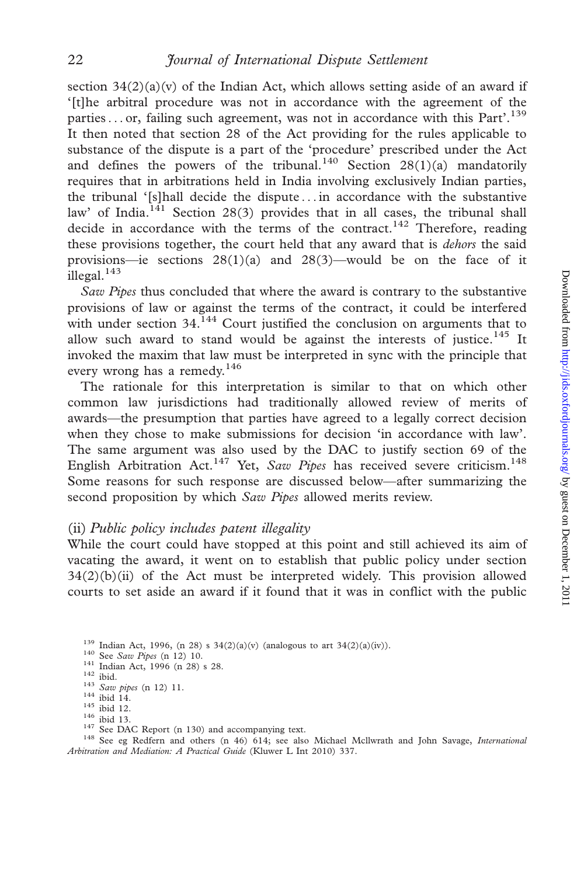section  $34(2)(a)(v)$  of the Indian Act, which allows setting aside of an award if '[t]he arbitral procedure was not in accordance with the agreement of the parties... or, failing such agreement, was not in accordance with this Part'.<sup>139</sup> It then noted that section 28 of the Act providing for the rules applicable to substance of the dispute is a part of the 'procedure' prescribed under the Act and defines the powers of the tribunal.<sup>140</sup> Section 28(1)(a) mandatorily requires that in arbitrations held in India involving exclusively Indian parties, the tribunal '[s]hall decide the dispute ... in accordance with the substantive law' of India.<sup>141</sup> Section 28(3) provides that in all cases, the tribunal shall decide in accordance with the terms of the contract.<sup>142</sup> Therefore, reading these provisions together, the court held that any award that is *dehors* the said provisions—ie sections  $28(1)(a)$  and  $28(3)$ —would be on the face of it illegal.<sup>143</sup>

Saw Pipes thus concluded that where the award is contrary to the substantive provisions of law or against the terms of the contract, it could be interfered with under section 34.<sup>144</sup> Court justified the conclusion on arguments that to allow such award to stand would be against the interests of justice.<sup>145</sup> It invoked the maxim that law must be interpreted in sync with the principle that every wrong has a remedy.<sup>146</sup>

The rationale for this interpretation is similar to that on which other common law jurisdictions had traditionally allowed review of merits of awards—the presumption that parties have agreed to a legally correct decision when they chose to make submissions for decision 'in accordance with law'. The same argument was also used by the DAC to justify section 69 of the English Arbitration Act.<sup>147</sup> Yet, Saw Pipes has received severe criticism.<sup>148</sup> Some reasons for such response are discussed below—after summarizing the second proposition by which Saw Pipes allowed merits review.

#### (ii) Public policy includes patent illegality

While the court could have stopped at this point and still achieved its aim of vacating the award, it went on to establish that public policy under section  $34(2)(b)(ii)$  of the Act must be interpreted widely. This provision allowed courts to set aside an award if it found that it was in conflict with the public

- 
- 

<sup>139</sup> Indian Act, 1996, (n 28) s  $34(2)(a)(v)$  (analogous to art  $34(2)(a)(iv)$ ).<br>
<sup>140</sup> See Saw Pipes (n 12) 10.<br>
<sup>141</sup> Indian Act, 1996 (n 28) s 28.<br>
<sup>142</sup> ibid.<br>
<sup>143</sup> Saw pipes (n 12) 11.<br>
<sup>143</sup> Saw pipes (n 12) 11.<br>
<sup>144</sup> Arbitration and Mediation: A Practical Guide (Kluwer L Int 2010) 337.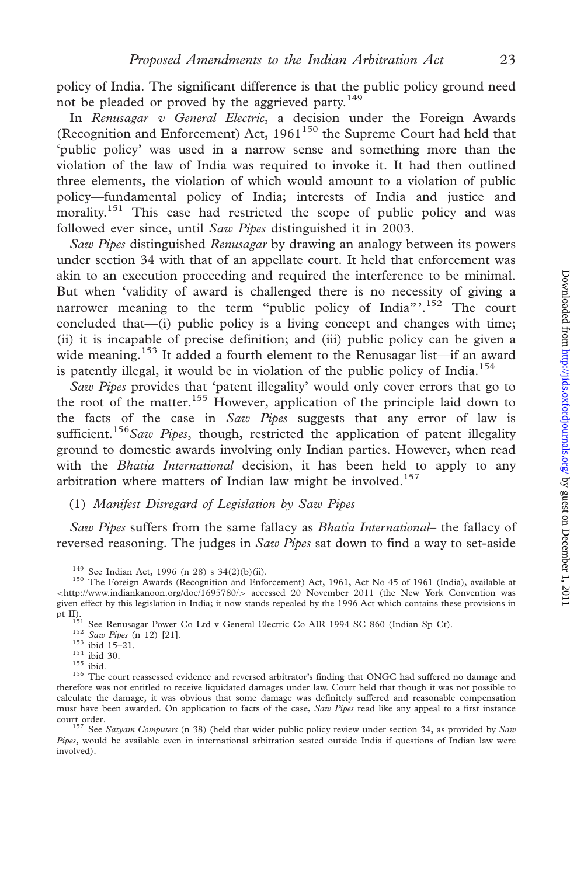policy of India. The significant difference is that the public policy ground need not be pleaded or proved by the aggrieved party.<sup>149</sup>

In Renusagar v General Electric, a decision under the Foreign Awards (Recognition and Enforcement) Act,  $1961^{150}$  the Supreme Court had held that 'public policy' was used in a narrow sense and something more than the violation of the law of India was required to invoke it. It had then outlined three elements, the violation of which would amount to a violation of public policy—fundamental policy of India; interests of India and justice and morality.<sup>151</sup> This case had restricted the scope of public policy and was followed ever since, until Saw Pipes distinguished it in 2003.

Saw Pipes distinguished Renusagar by drawing an analogy between its powers under section 34 with that of an appellate court. It held that enforcement was akin to an execution proceeding and required the interference to be minimal. But when 'validity of award is challenged there is no necessity of giving a narrower meaning to the term "public policy of India"'.<sup>152</sup> The court concluded that—(i) public policy is a living concept and changes with time; (ii) it is incapable of precise definition; and (iii) public policy can be given a wide meaning.<sup>153</sup> It added a fourth element to the Renusagar list—if an award is patently illegal, it would be in violation of the public policy of India.<sup>154</sup>

Saw Pipes provides that 'patent illegality' would only cover errors that go to the root of the matter.<sup>155</sup> However, application of the principle laid down to the facts of the case in Saw Pipes suggests that any error of law is sufficient.<sup>156</sup>Saw Pipes, though, restricted the application of patent illegality ground to domestic awards involving only Indian parties. However, when read with the *Bhatia International* decision, it has been held to apply to any arbitration where matters of Indian law might be involved.<sup>157</sup>

## (1) Manifest Disregard of Legislation by Saw Pipes

Saw Pipes suffers from the same fallacy as Bhatia International– the fallacy of reversed reasoning. The judges in Saw Pipes sat down to find a way to set-aside

- 
- 

therefore was not entitled to receive liquidated damages under law. Court held that though it was not possible to calculate the damage, it was obvious that some damage was definitely suffered and reasonable compensation must have been awarded. On application to facts of the case, Saw Pipes read like any appeal to a first instance

court order. 157 See Satyam Computers (n 38) (held that wider public policy review under section 34, as provided by Saw Pipes, would be available even in international arbitration seated outside India if questions of Indian law were involved).

<sup>&</sup>lt;sup>149</sup> See Indian Act, 1996 (n 28) s 34(2)(b)(ii). 150 The Foreign Awards (Recognition and Enforcement) Act, 1961, Act No 45 of 1961 (India), available at <<http://www.indiankanoon.org/doc/1695780/>> accessed 20 November 2011 (the New York Convention was given effect by this legislation in India; it now stands repealed by the 1996 Act which contains these provisions in pt II).<br>
<sup>151</sup> See Renusagar Power Co Ltd v General Electric Co AIR 1994 SC 860 (Indian Sp Ct).<br>
<sup>152</sup> Sate Pipes (n 12) [21].<br>
<sup>153</sup> ibid.<br>
<sup>153</sup> ibid.<br>
<sup>154</sup> The court reassessed evidence and reversed arbitrator's findin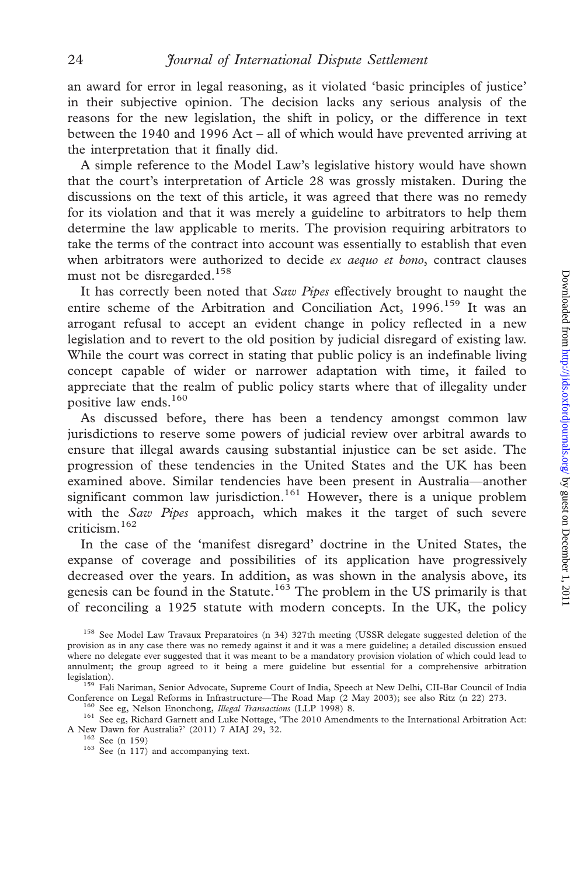an award for error in legal reasoning, as it violated 'basic principles of justice' in their subjective opinion. The decision lacks any serious analysis of the reasons for the new legislation, the shift in policy, or the difference in text between the 1940 and 1996 Act – all of which would have prevented arriving at the interpretation that it finally did.

A simple reference to the Model Law's legislative history would have shown that the court's interpretation of Article 28 was grossly mistaken. During the discussions on the text of this article, it was agreed that there was no remedy for its violation and that it was merely a guideline to arbitrators to help them determine the law applicable to merits. The provision requiring arbitrators to take the terms of the contract into account was essentially to establish that even when arbitrators were authorized to decide ex aequo et bono, contract clauses must not be disregarded.<sup>158</sup>

It has correctly been noted that Saw Pipes effectively brought to naught the entire scheme of the Arbitration and Conciliation Act, 1996.<sup>159</sup> It was an arrogant refusal to accept an evident change in policy reflected in a new legislation and to revert to the old position by judicial disregard of existing law. While the court was correct in stating that public policy is an indefinable living concept capable of wider or narrower adaptation with time, it failed to appreciate that the realm of public policy starts where that of illegality under positive law ends.<sup>160</sup>

As discussed before, there has been a tendency amongst common law jurisdictions to reserve some powers of judicial review over arbitral awards to ensure that illegal awards causing substantial injustice can be set aside. The progression of these tendencies in the United States and the UK has been examined above. Similar tendencies have been present in Australia—another significant common law jurisdiction.<sup>161</sup> However, there is a unique problem with the Saw Pipes approach, which makes it the target of such severe criticism.<sup>162</sup>

In the case of the 'manifest disregard' doctrine in the United States, the expanse of coverage and possibilities of its application have progressively decreased over the years. In addition, as was shown in the analysis above, its genesis can be found in the Statute.<sup>163</sup> The problem in the US primarily is that of reconciling a 1925 statute with modern concepts. In the UK, the policy

<sup>&</sup>lt;sup>158</sup> See Model Law Travaux Preparatoires (n 34) 327th meeting (USSR delegate suggested deletion of the provision as in any case there was no remedy against it and it was a mere guideline; a detailed discussion ensued where no delegate ever suggested that it was meant to be a mandatory provision violation of which could lead to annulment; the group agreed to it being a mere guideline but essential for a comprehensive arbitration legislation).

<sup>&</sup>lt;sup>159</sup> Fali Nariman, Senior Advocate, Supreme Court of India, Speech at New Delhi, CII-Bar Council of India<br>Conference on Legal Reforms in Infrastructure—The Road Map (2 May 2003); see also Ritz (n 22) 273.

<sup>&</sup>lt;sup>160</sup> See eg, Nelson Enonchong, *Illegal Transactions* (LLP 1998) 8.<br><sup>161</sup> See eg, Richard Garnett and Luke Nottage, 'The 2010 Amendments to the International Arbitration Act:<br>A New Dawn for Australia?' (2011) 7 AIAJ 29, 3

 $\frac{162}{163}$  See (n 159)<br><sup>163</sup> See (n 117) and accompanying text.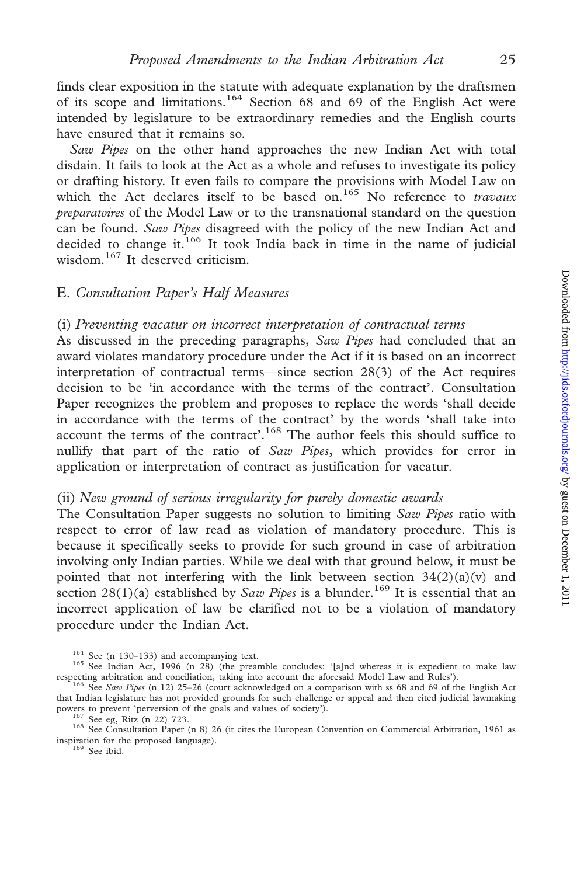finds clear exposition in the statute with adequate explanation by the draftsmen of its scope and limitations.<sup>164</sup> Section 68 and 69 of the English Act were intended by legislature to be extraordinary remedies and the English courts have ensured that it remains so.

Saw Pipes on the other hand approaches the new Indian Act with total disdain. It fails to look at the Act as a whole and refuses to investigate its policy or drafting history. It even fails to compare the provisions with Model Law on which the Act declares itself to be based on.<sup>165</sup> No reference to *travaux* preparatoires of the Model Law or to the transnational standard on the question can be found. Saw Pipes disagreed with the policy of the new Indian Act and decided to change it.<sup>166</sup> It took India back in time in the name of judicial wisdom.<sup>167</sup> It deserved criticism.

#### E. Consultation Paper's Half Measures

#### (i) Preventing vacatur on incorrect interpretation of contractual terms

As discussed in the preceding paragraphs, Saw Pipes had concluded that an award violates mandatory procedure under the Act if it is based on an incorrect interpretation of contractual terms—since section 28(3) of the Act requires decision to be 'in accordance with the terms of the contract'. Consultation Paper recognizes the problem and proposes to replace the words 'shall decide in accordance with the terms of the contract' by the words 'shall take into account the terms of the contract'.<sup>168</sup> The author feels this should suffice to nullify that part of the ratio of Saw Pipes, which provides for error in application or interpretation of contract as justification for vacatur.

#### (ii) New ground of serious irregularity for purely domestic awards

The Consultation Paper suggests no solution to limiting Saw Pipes ratio with respect to error of law read as violation of mandatory procedure. This is because it specifically seeks to provide for such ground in case of arbitration involving only Indian parties. While we deal with that ground below, it must be pointed that not interfering with the link between section  $34(2)(a)(v)$  and section 28(1)(a) established by Saw Pipes is a blunder.<sup>169</sup> It is essential that an incorrect application of law be clarified not to be a violation of mandatory procedure under the Indian Act.

<sup>&</sup>lt;sup>164</sup> See (n 130–133) and accompanying text.<br><sup>165</sup> See Indian Act, 1996 (n 28) (the preamble concludes: '[a]nd whereas it is expedient to make law<br>respecting arbitration and conciliation, taking into account the aforesaid

<sup>&</sup>lt;sup>166</sup> See Saw Pipes (n 12) 25-26 (court acknowledged on a comparison with ss 68 and 69 of the English Act that Indian legislature has not provided grounds for such challenge or appeal and then cited judicial lawmaking powers to prevent 'perversion of the goals and values of society').<br><sup>167</sup> See eg, Ritz (n 22) 723.<br><sup>168</sup> See Consultation Paper (n 8) 26 (it cites the European Convention on Commercial Arbitration, 1961 as

inspiration for the proposed language). <sup>169</sup> See ibid.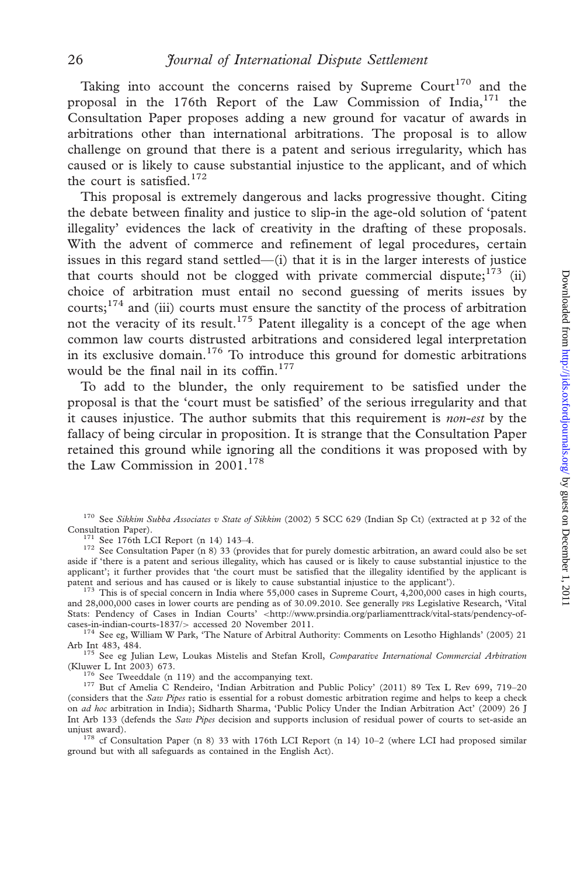Taking into account the concerns raised by Supreme Court<sup>170</sup> and the proposal in the 176th Report of the Law Commission of India,<sup>171</sup> the Consultation Paper proposes adding a new ground for vacatur of awards in arbitrations other than international arbitrations. The proposal is to allow challenge on ground that there is a patent and serious irregularity, which has caused or is likely to cause substantial injustice to the applicant, and of which the court is satisfied.<sup>172</sup>

This proposal is extremely dangerous and lacks progressive thought. Citing the debate between finality and justice to slip-in the age-old solution of 'patent illegality' evidences the lack of creativity in the drafting of these proposals. With the advent of commerce and refinement of legal procedures, certain issues in this regard stand settled—(i) that it is in the larger interests of justice that courts should not be clogged with private commercial dispute; $173$  (ii) choice of arbitration must entail no second guessing of merits issues by courts;<sup>174</sup> and (iii) courts must ensure the sanctity of the process of arbitration not the veracity of its result.<sup>175</sup> Patent illegality is a concept of the age when common law courts distrusted arbitrations and considered legal interpretation in its exclusive domain.<sup>176</sup> To introduce this ground for domestic arbitrations would be the final nail in its coffin.<sup>177</sup>

To add to the blunder, the only requirement to be satisfied under the proposal is that the 'court must be satisfied' of the serious irregularity and that it causes injustice. The author submits that this requirement is non-est by the fallacy of being circular in proposition. It is strange that the Consultation Paper retained this ground while ignoring all the conditions it was proposed with by the Law Commission in 2001.<sup>178</sup>

<sup>175</sup> See eg Julian Lew, Loukas Mistelis and Stefan Kroll, Comparative International Commercial Arbitration (Kluwer L Int 2003) 673.

<sup>178</sup> cf Consultation Paper (n 8) 33 with 176th LCI Report (n 14) 10-2 (where LCI had proposed similar ground but with all safeguards as contained in the English Act).

<sup>&</sup>lt;sup>170</sup> See Sikkim Subba Associates v State of Sikkim (2002) 5 SCC 629 (Indian Sp Ct) (extracted at p 32 of the Consultation Paper).

<sup>&</sup>lt;sup>171</sup> See 176th LCI Report (n 14) 143–4.<br><sup>172</sup> See Consultation Paper (n 8) 33 (provides that for purely domestic arbitration, an award could also be set aside if 'there is a patent and serious illegality, which has caused or is likely to cause substantial injustice to the applicant'; it further provides that 'the court must be satisfied that the illegality identified by the applicant is patent and serious and has caused or is likely to cause substantial injustice to the applicant').

<sup>&</sup>lt;sup>173</sup> This is of special concern in India where 55,000 cases in Supreme Court,  $4,200,000$  cases in high courts, and 28,000,000 cases in lower courts are pending as of 30.09.2010. See generally PRS Legislative Research, 'Vital Stats: Pendency of Cases in Indian Courts' <http://www.prsindia.org/parliamenttrack/vital-stats/pendency-of-cases-in-indian-courts-1837/> accessed 20 November 2011.

 $^{174}$  See eg, William W Park, 'The Nature of Arbitral Authority: Comments on Lesotho Highlands' (2005) 21 Arb Int 483, 484.

<sup>&</sup>lt;sup>176</sup> See Tweeddale (n 119) and the accompanying text.<br><sup>177</sup> But cf Amelia C Rendeiro, 'Indian Arbitration and Public Policy' (2011) 89 Tex L Rev 699, 719–20 (considers that the Saw Pipes ratio is essential for a robust domestic arbitration regime and helps to keep a check on ad hoc arbitration in India); Sidharth Sharma, 'Public Policy Under the Indian Arbitration Act' (2009) 26 J Int Arb 133 (defends the Saw Pipes decision and supports inclusion of residual power of courts to set-aside an unjust award).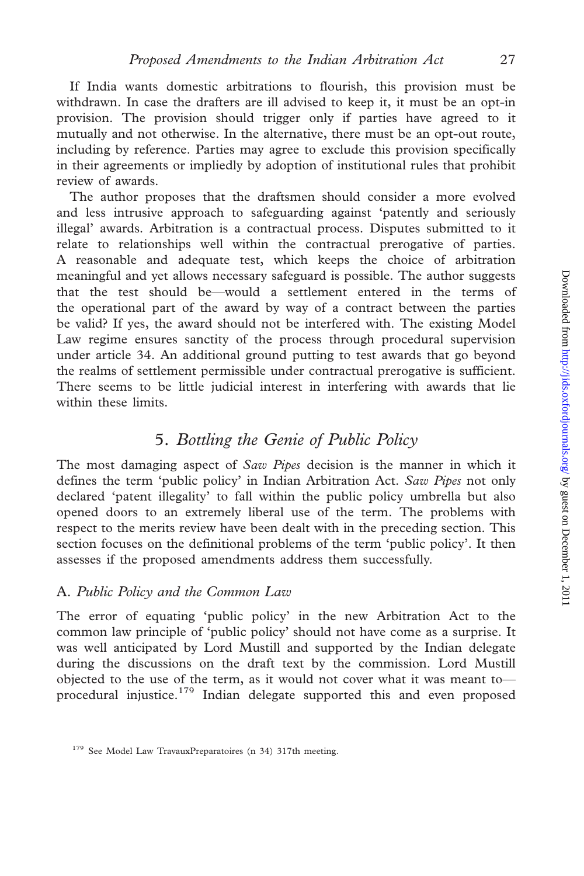If India wants domestic arbitrations to flourish, this provision must be withdrawn. In case the drafters are ill advised to keep it, it must be an opt-in provision. The provision should trigger only if parties have agreed to it mutually and not otherwise. In the alternative, there must be an opt-out route, including by reference. Parties may agree to exclude this provision specifically in their agreements or impliedly by adoption of institutional rules that prohibit review of awards.

The author proposes that the draftsmen should consider a more evolved and less intrusive approach to safeguarding against 'patently and seriously illegal' awards. Arbitration is a contractual process. Disputes submitted to it relate to relationships well within the contractual prerogative of parties. A reasonable and adequate test, which keeps the choice of arbitration meaningful and yet allows necessary safeguard is possible. The author suggests that the test should be—would a settlement entered in the terms of the operational part of the award by way of a contract between the parties be valid? If yes, the award should not be interfered with. The existing Model Law regime ensures sanctity of the process through procedural supervision under article 34. An additional ground putting to test awards that go beyond the realms of settlement permissible under contractual prerogative is sufficient. There seems to be little judicial interest in interfering with awards that lie within these limits.

# 5. Bottling the Genie of Public Policy

The most damaging aspect of Saw Pipes decision is the manner in which it defines the term 'public policy' in Indian Arbitration Act. Saw Pipes not only declared 'patent illegality' to fall within the public policy umbrella but also opened doors to an extremely liberal use of the term. The problems with respect to the merits review have been dealt with in the preceding section. This section focuses on the definitional problems of the term 'public policy'. It then assesses if the proposed amendments address them successfully.

## A. Public Policy and the Common Law

The error of equating 'public policy' in the new Arbitration Act to the common law principle of 'public policy' should not have come as a surprise. It was well anticipated by Lord Mustill and supported by the Indian delegate during the discussions on the draft text by the commission. Lord Mustill objected to the use of the term, as it would not cover what it was meant to procedural injustice.<sup>179</sup> Indian delegate supported this and even proposed

<sup>&</sup>lt;sup>179</sup> See Model Law TravauxPreparatoires (n 34) 317th meeting.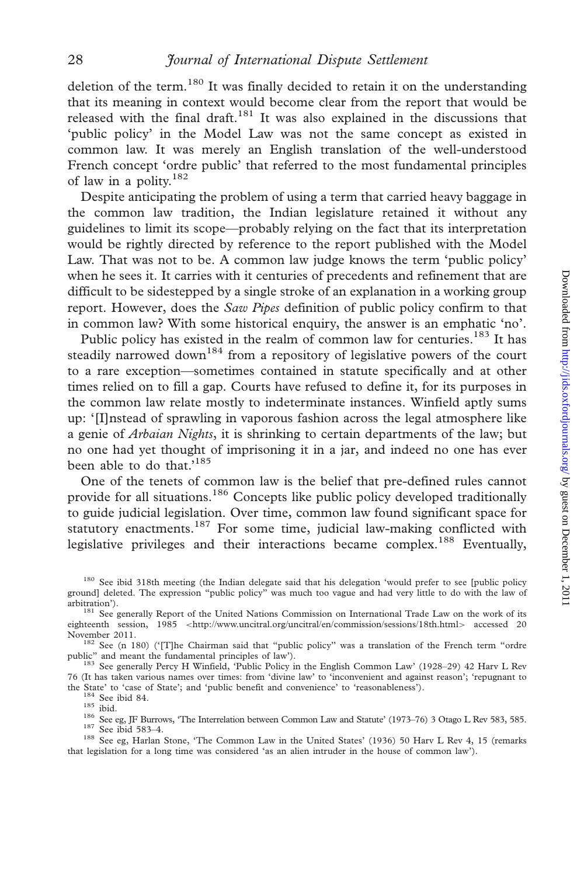deletion of the term.<sup>180</sup> It was finally decided to retain it on the understanding that its meaning in context would become clear from the report that would be released with the final draft.<sup>181</sup> It was also explained in the discussions that 'public policy' in the Model Law was not the same concept as existed in common law. It was merely an English translation of the well-understood French concept 'ordre public' that referred to the most fundamental principles of law in a polity.182

Despite anticipating the problem of using a term that carried heavy baggage in the common law tradition, the Indian legislature retained it without any guidelines to limit its scope—probably relying on the fact that its interpretation would be rightly directed by reference to the report published with the Model Law. That was not to be. A common law judge knows the term 'public policy' when he sees it. It carries with it centuries of precedents and refinement that are difficult to be sidestepped by a single stroke of an explanation in a working group report. However, does the *Saw Pipes* definition of public policy confirm to that in common law? With some historical enquiry, the answer is an emphatic 'no'.

Public policy has existed in the realm of common law for centuries.<sup>183</sup> It has steadily narrowed down<sup>184</sup> from a repository of legislative powers of the court to a rare exception—sometimes contained in statute specifically and at other times relied on to fill a gap. Courts have refused to define it, for its purposes in the common law relate mostly to indeterminate instances. Winfield aptly sums up: '[I]nstead of sprawling in vaporous fashion across the legal atmosphere like a genie of *Arbaian Nights*, it is shrinking to certain departments of the law; but no one had yet thought of imprisoning it in a jar, and indeed no one has ever been able to do that.'<sup>185</sup>

One of the tenets of common law is the belief that pre-defined rules cannot provide for all situations.<sup>186</sup> Concepts like public policy developed traditionally to guide judicial legislation. Over time, common law found significant space for statutory enactments.<sup>187</sup> For some time, judicial law-making conflicted with legislative privileges and their interactions became complex.<sup>188</sup> Eventually,

<sup>183</sup> See generally Percy H Winfield, 'Public Policy in the English Common Law' (1928–29) 42 Harv L Rev 76 (It has taken various names over times: from 'divine law' to 'inconvenient and against reason'; 'repugnant to

the State' to 'case of State'; and 'public benefit and convenience' to 'reasonableness').<br>
<sup>184</sup> See ibid 84.<br>
<sup>185</sup> ibid.<br>
<sup>185</sup> See eg, JF Burrows, 'The Interrelation between Common Law and Statute' (1973–76) 3 Otago L R

that legislation for a long time was considered 'as an alien intruder in the house of common law').

<sup>&</sup>lt;sup>180</sup> See ibid 318th meeting (the Indian delegate said that his delegation 'would prefer to see [public policy ground] deleted. The expression ''public policy'' was much too vague and had very little to do with the law of arbitration').<br><sup>181</sup> See generally Report of the United Nations Commission on International Trade Law on the work of its

eighteenth session, 1985 <<http://www.uncitral.org/uncitral/en/commission/sessions/18th.html>> accessed 20 November 2011.

 $182$  See (n 180) ('[T]he Chairman said that "public policy" was a translation of the French term "ordre public" and meant the fundamental principles of law").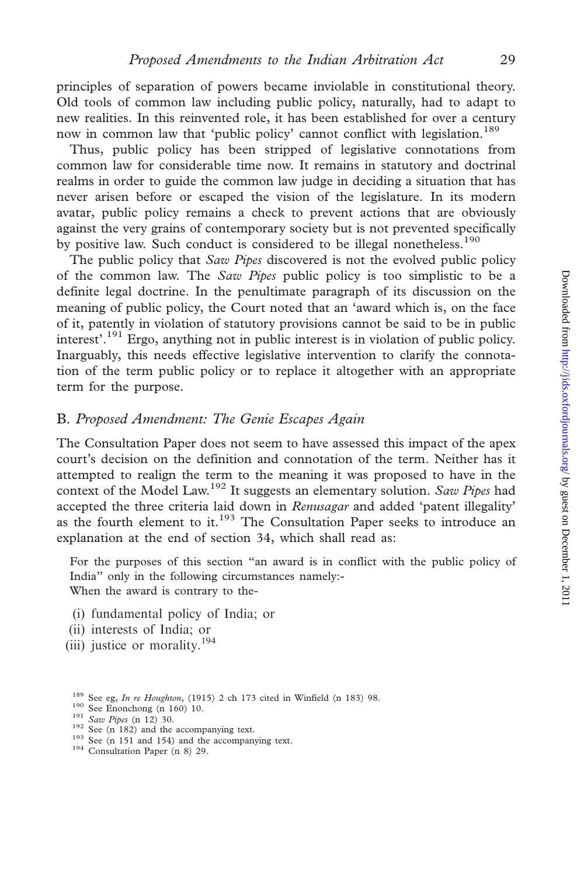principles of separation of powers became inviolable in constitutional theory. Old tools of common law including public policy, naturally, had to adapt to new realities. In this reinvented role, it has been established for over a century now in common law that 'public policy' cannot conflict with legislation.<sup>189</sup>

Thus, public policy has been stripped of legislative connotations from common law for considerable time now. It remains in statutory and doctrinal realms in order to guide the common law judge in deciding a situation that has never arisen before or escaped the vision of the legislature. In its modern avatar, public policy remains a check to prevent actions that are obviously against the very grains of contemporary society but is not prevented specifically by positive law. Such conduct is considered to be illegal nonetheless.<sup>190</sup>

The public policy that *Saw Pipes* discovered is not the evolved public policy of the common law. The *Saw Pipes* public policy is too simplistic to be a definite legal doctrine. In the penultimate paragraph of its discussion on the meaning of public policy, the Court noted that an 'award which is, on the face of it, patently in violation of statutory provisions cannot be said to be in public interest'.<sup>191</sup> Ergo, anything not in public interest is in violation of public policy. Inarguably, this needs effective legislative intervention to clarify the connotation of the term public policy or to replace it altogether with an appropriate term for the purpose.

#### B. Proposed Amendment: The Genie Escapes Again

The Consultation Paper does not seem to have assessed this impact of the apex court's decision on the definition and connotation of the term. Neither has it attempted to realign the term to the meaning it was proposed to have in the context of the Model Law.<sup>192</sup> It suggests an elementary solution. Saw Pipes had accepted the three criteria laid down in Renusagar and added 'patent illegality' as the fourth element to it.<sup>193</sup> The Consultation Paper seeks to introduce an explanation at the end of section 34, which shall read as:

For the purposes of this section "an award is in conflict with the public policy of India'' only in the following circumstances namely:- When the award is contrary to the-

- (i) fundamental policy of India; or
- (ii) interests of India; or
- (iii) justice or morality.194
	- <sup>189</sup> See eg, *In re Houghton*, (1915) 2 ch 173 cited in Winfield (n 183) 98.<br><sup>190</sup> See Enonchong (n 160) 10.<br><sup>191</sup> Saw Pipes (n 12) 30.<br><sup>192</sup> See (n 182) and the accompanying text.<br><sup>193</sup> See (n 151 and 154) and the accom
	-
	-
	-
	-
	-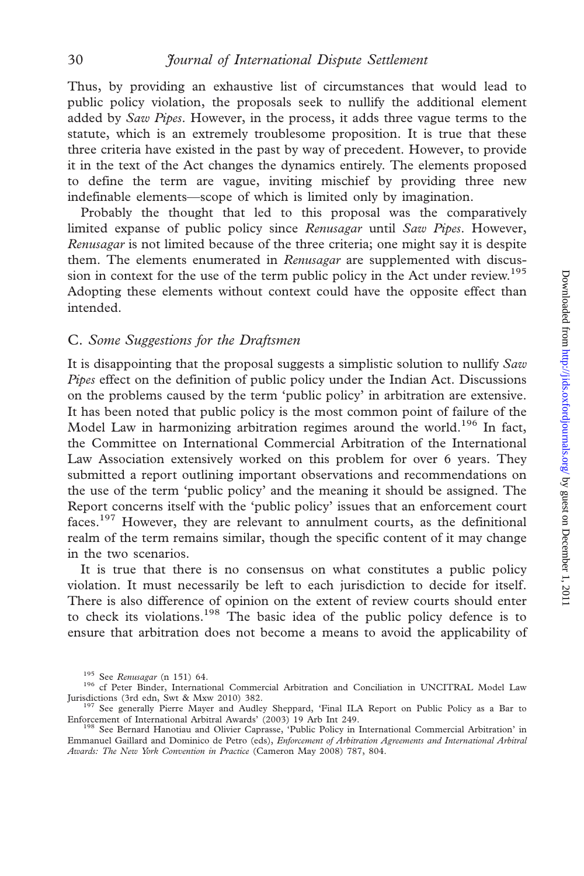Thus, by providing an exhaustive list of circumstances that would lead to public policy violation, the proposals seek to nullify the additional element added by *Saw Pipes*. However, in the process, it adds three vague terms to the statute, which is an extremely troublesome proposition. It is true that these three criteria have existed in the past by way of precedent. However, to provide it in the text of the Act changes the dynamics entirely. The elements proposed to define the term are vague, inviting mischief by providing three new indefinable elements—scope of which is limited only by imagination.

Probably the thought that led to this proposal was the comparatively limited expanse of public policy since Renusagar until Saw Pipes. However, Renusagar is not limited because of the three criteria; one might say it is despite them. The elements enumerated in *Renusagar* are supplemented with discussion in context for the use of the term public policy in the Act under review.<sup>195</sup> Adopting these elements without context could have the opposite effect than intended.

#### C. Some Suggestions for the Draftsmen

It is disappointing that the proposal suggests a simplistic solution to nullify Saw Pipes effect on the definition of public policy under the Indian Act. Discussions on the problems caused by the term 'public policy' in arbitration are extensive. It has been noted that public policy is the most common point of failure of the Model Law in harmonizing arbitration regimes around the world.<sup>196</sup> In fact, the Committee on International Commercial Arbitration of the International Law Association extensively worked on this problem for over 6 years. They submitted a report outlining important observations and recommendations on the use of the term 'public policy' and the meaning it should be assigned. The Report concerns itself with the 'public policy' issues that an enforcement court faces.197 However, they are relevant to annulment courts, as the definitional realm of the term remains similar, though the specific content of it may change in the two scenarios.

It is true that there is no consensus on what constitutes a public policy violation. It must necessarily be left to each jurisdiction to decide for itself. There is also difference of opinion on the extent of review courts should enter to check its violations.<sup>198</sup> The basic idea of the public policy defence is to ensure that arbitration does not become a means to avoid the applicability of

<sup>&</sup>lt;sup>195</sup> See Renusagar (n 151) 64.<br><sup>196</sup> cf Peter Binder, International Commercial Arbitration and Conciliation in UNCITRAL Model Law<br>Jurisdictions (3rd edn, Swt & Mxw 2010) 382.

<sup>&</sup>lt;sup>197</sup> See generally Pierre Mayer and Audley Sheppard, 'Final ILA Report on Public Policy as a Bar to Enforcement of International Arbitral Awards' (2003) 19 Arb Int 249.<br><sup>198</sup> See Bernard Hanotiau and Olivier Caprasse, 'Public Policy in International Commercial Arbitration' in

Emmanuel Gaillard and Dominico de Petro (eds), Enforcement of Arbitration Agreements and International Arbitral Awards: The New York Convention in Practice (Cameron May 2008) 787, 804.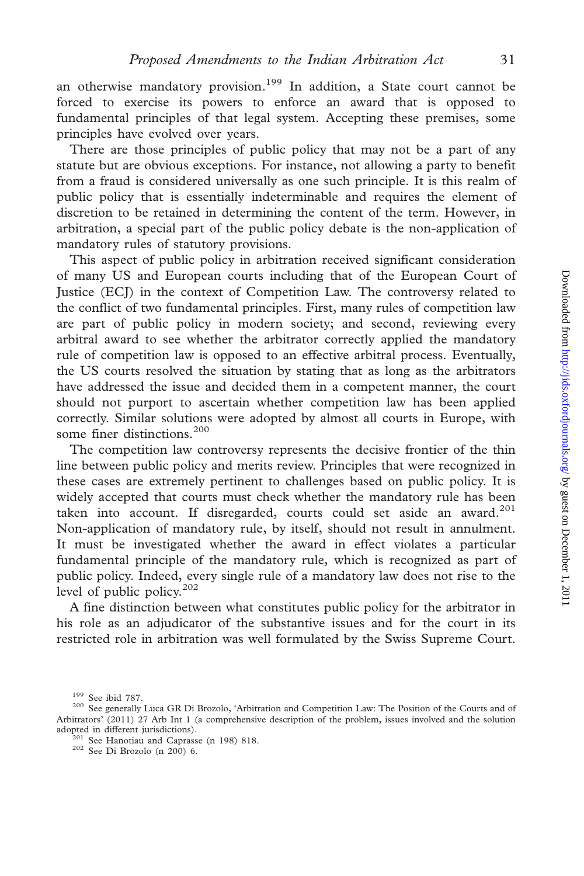an otherwise mandatory provision.<sup>199</sup> In addition, a State court cannot be forced to exercise its powers to enforce an award that is opposed to fundamental principles of that legal system. Accepting these premises, some principles have evolved over years.

There are those principles of public policy that may not be a part of any statute but are obvious exceptions. For instance, not allowing a party to benefit from a fraud is considered universally as one such principle. It is this realm of public policy that is essentially indeterminable and requires the element of discretion to be retained in determining the content of the term. However, in arbitration, a special part of the public policy debate is the non-application of mandatory rules of statutory provisions.

This aspect of public policy in arbitration received significant consideration of many US and European courts including that of the European Court of Justice (ECJ) in the context of Competition Law. The controversy related to the conflict of two fundamental principles. First, many rules of competition law are part of public policy in modern society; and second, reviewing every arbitral award to see whether the arbitrator correctly applied the mandatory rule of competition law is opposed to an effective arbitral process. Eventually, the US courts resolved the situation by stating that as long as the arbitrators have addressed the issue and decided them in a competent manner, the court should not purport to ascertain whether competition law has been applied correctly. Similar solutions were adopted by almost all courts in Europe, with some finer distinctions.<sup>200</sup>

The competition law controversy represents the decisive frontier of the thin line between public policy and merits review. Principles that were recognized in these cases are extremely pertinent to challenges based on public policy. It is widely accepted that courts must check whether the mandatory rule has been taken into account. If disregarded, courts could set aside an award.<sup>201</sup> Non-application of mandatory rule, by itself, should not result in annulment. It must be investigated whether the award in effect violates a particular fundamental principle of the mandatory rule, which is recognized as part of public policy. Indeed, every single rule of a mandatory law does not rise to the level of public policy.<sup>202</sup>

A fine distinction between what constitutes public policy for the arbitrator in his role as an adjudicator of the substantive issues and for the court in its restricted role in arbitration was well formulated by the Swiss Supreme Court.

<sup>&</sup>lt;sup>199</sup> See ibid 787.<br><sup>200</sup> See generally Luca GR Di Brozolo, 'Arbitration and Competition Law: The Position of the Courts and of Arbitrators' (2011) 27 Arb Int 1 (a comprehensive description of the problem, issues involved and the solution

 $\frac{201}{202}$  See Hanotiau and Caprasse (n 198) 818.  $\frac{202}{202}$  See Di Brozolo (n 200) 6.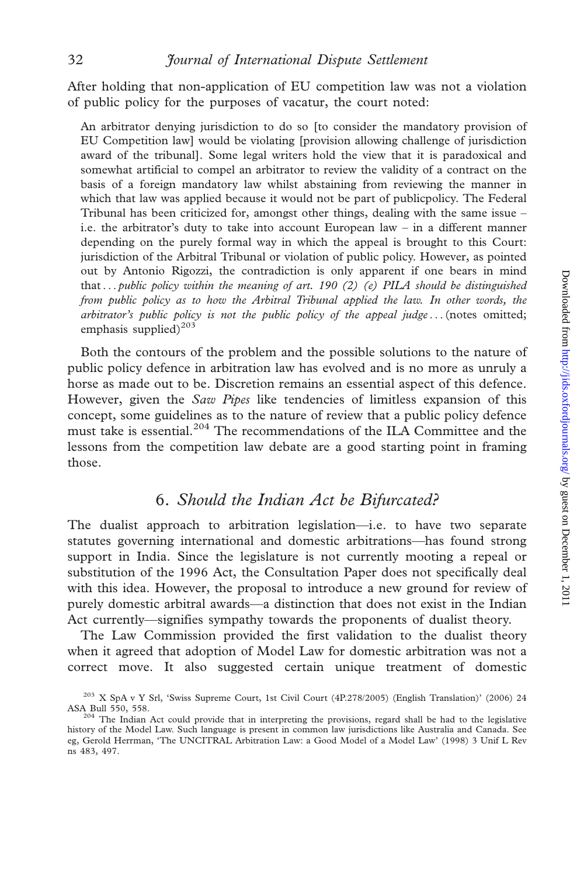After holding that non-application of EU competition law was not a violation of public policy for the purposes of vacatur, the court noted:

An arbitrator denying jurisdiction to do so [to consider the mandatory provision of EU Competition law] would be violating [provision allowing challenge of jurisdiction award of the tribunal]. Some legal writers hold the view that it is paradoxical and somewhat artificial to compel an arbitrator to review the validity of a contract on the basis of a foreign mandatory law whilst abstaining from reviewing the manner in which that law was applied because it would not be part of publicpolicy. The Federal Tribunal has been criticized for, amongst other things, dealing with the same issue – i.e. the arbitrator's duty to take into account European law – in a different manner depending on the purely formal way in which the appeal is brought to this Court: jurisdiction of the Arbitral Tribunal or violation of public policy. However, as pointed out by Antonio Rigozzi, the contradiction is only apparent if one bears in mind that  $\ldots$  public policy within the meaning of art. 190 (2) (e) PILA should be distinguished from public policy as to how the Arbitral Tribunal applied the law. In other words, the arbitrator's public policy is not the public policy of the appeal judge...(notes omitted; emphasis supplied) $^{203}$ 

Both the contours of the problem and the possible solutions to the nature of public policy defence in arbitration law has evolved and is no more as unruly a horse as made out to be. Discretion remains an essential aspect of this defence. However, given the Saw Pipes like tendencies of limitless expansion of this concept, some guidelines as to the nature of review that a public policy defence must take is essential.<sup>204</sup> The recommendations of the ILA Committee and the lessons from the competition law debate are a good starting point in framing those.

# 6. Should the Indian Act be Bifurcated?

The dualist approach to arbitration legislation—i.e. to have two separate statutes governing international and domestic arbitrations—has found strong support in India. Since the legislature is not currently mooting a repeal or substitution of the 1996 Act, the Consultation Paper does not specifically deal with this idea. However, the proposal to introduce a new ground for review of purely domestic arbitral awards—a distinction that does not exist in the Indian Act currently—signifies sympathy towards the proponents of dualist theory.

The Law Commission provided the first validation to the dualist theory when it agreed that adoption of Model Law for domestic arbitration was not a correct move. It also suggested certain unique treatment of domestic

 $^{203}$  X SpA v Y Srl, 'Swiss Supreme Court, 1st Civil Court (4P.278/2005) (English Translation)' (2006) 24<br>ASA Bull 550, 558.

<sup>&</sup>lt;sup>204</sup> The Indian Act could provide that in interpreting the provisions, regard shall be had to the legislative history of the Model Law. Such language is present in common law jurisdictions like Australia and Canada. See eg, Gerold Herrman, 'The UNCITRAL Arbitration Law: a Good Model of a Model Law' (1998) 3 Unif L Rev ns 483, 497.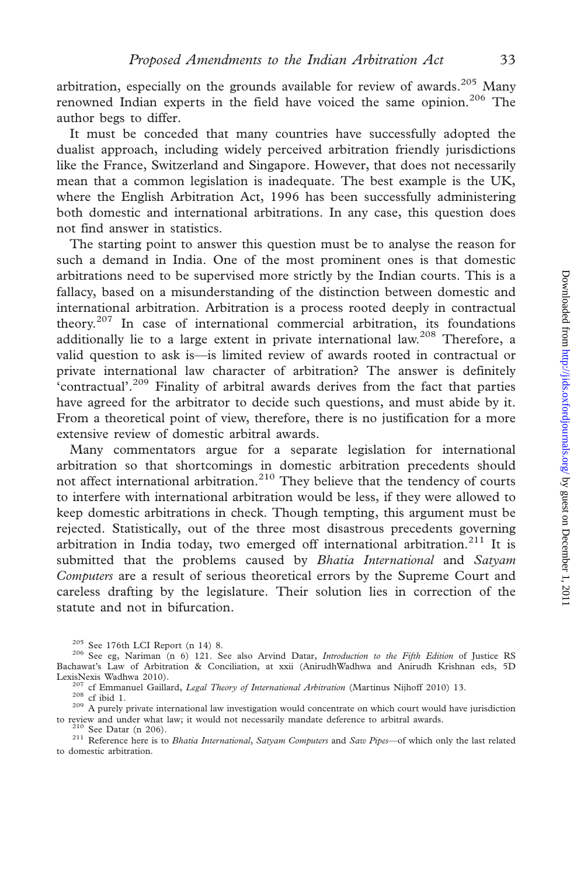arbitration, especially on the grounds available for review of awards.<sup>205</sup> Many renowned Indian experts in the field have voiced the same opinion.<sup>206</sup> The author begs to differ.

It must be conceded that many countries have successfully adopted the dualist approach, including widely perceived arbitration friendly jurisdictions like the France, Switzerland and Singapore. However, that does not necessarily mean that a common legislation is inadequate. The best example is the UK, where the English Arbitration Act, 1996 has been successfully administering both domestic and international arbitrations. In any case, this question does not find answer in statistics.

The starting point to answer this question must be to analyse the reason for such a demand in India. One of the most prominent ones is that domestic arbitrations need to be supervised more strictly by the Indian courts. This is a fallacy, based on a misunderstanding of the distinction between domestic and international arbitration. Arbitration is a process rooted deeply in contractual theory.<sup>207</sup> In case of international commercial arbitration, its foundations additionally lie to a large extent in private international law.<sup>208</sup> Therefore, a valid question to ask is—is limited review of awards rooted in contractual or private international law character of arbitration? The answer is definitely 'contractual'.<sup>209</sup> Finality of arbitral awards derives from the fact that parties have agreed for the arbitrator to decide such questions, and must abide by it. From a theoretical point of view, therefore, there is no justification for a more extensive review of domestic arbitral awards.

Many commentators argue for a separate legislation for international arbitration so that shortcomings in domestic arbitration precedents should not affect international arbitration.<sup>210</sup> They believe that the tendency of courts to interfere with international arbitration would be less, if they were allowed to keep domestic arbitrations in check. Though tempting, this argument must be rejected. Statistically, out of the three most disastrous precedents governing arbitration in India today, two emerged off international arbitration.<sup>211</sup> It is submitted that the problems caused by Bhatia International and Satyam Computers are a result of serious theoretical errors by the Supreme Court and careless drafting by the legislature. Their solution lies in correction of the statute and not in bifurcation.

<sup>&</sup>lt;sup>205</sup> See 176th LCI Report (n 14) 8.<br><sup>206</sup> See eg, Nariman (n 6) 121. See also Arvind Datar, *Introduction to the Fifth Edition* of Justice RS Bachawat's Law of Arbitration & Conciliation, at xxii (AnirudhWadhwa and Anirudh Krishnan eds, 5D

 $^{207}$  cf Emmanuel Gaillard, *Legal Theory of International Arbitration* (Martinus Nijhoff 2010) 13.<br><sup>208</sup> cf ibid 1.<br><sup>209</sup> A purely private international law investigation would concentrate on which court would have jur to review and under what law; it would not necessarily mandate deference to arbitral awards.<br><sup>210</sup> See Datar (n 206).<br><sup>211</sup> Reference here is to *Bhatia International, Satyam Computers* and *Saw Pipes*—of which only the l

to domestic arbitration.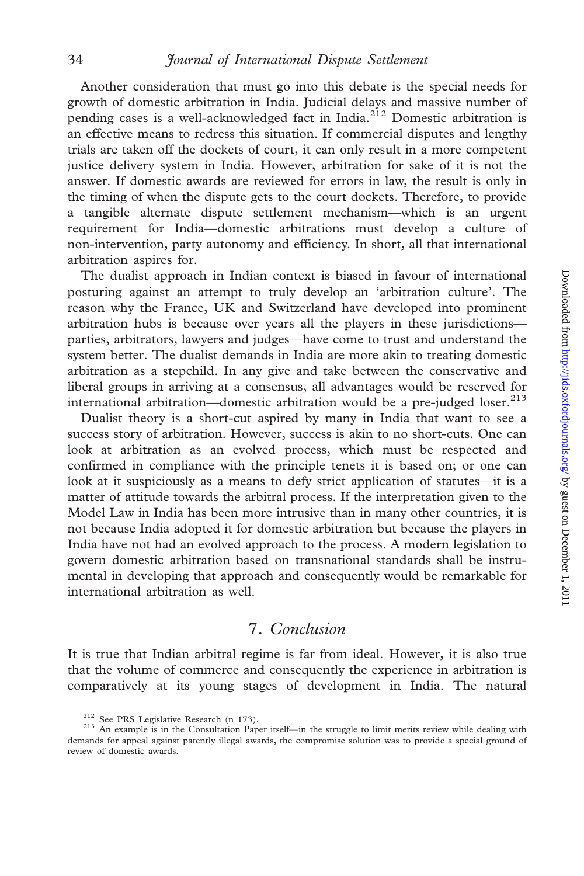Another consideration that must go into this debate is the special needs for growth of domestic arbitration in India. Judicial delays and massive number of pending cases is a well-acknowledged fact in India.<sup>212</sup> Domestic arbitration is an effective means to redress this situation. If commercial disputes and lengthy trials are taken off the dockets of court, it can only result in a more competent justice delivery system in India. However, arbitration for sake of it is not the answer. If domestic awards are reviewed for errors in law, the result is only in the timing of when the dispute gets to the court dockets. Therefore, to provide a tangible alternate dispute settlement mechanism—which is an urgent requirement for India—domestic arbitrations must develop a culture of non-intervention, party autonomy and efficiency. In short, all that international arbitration aspires for.

The dualist approach in Indian context is biased in favour of international posturing against an attempt to truly develop an 'arbitration culture'. The reason why the France, UK and Switzerland have developed into prominent arbitration hubs is because over years all the players in these jurisdictions parties, arbitrators, lawyers and judges—have come to trust and understand the system better. The dualist demands in India are more akin to treating domestic arbitration as a stepchild. In any give and take between the conservative and liberal groups in arriving at a consensus, all advantages would be reserved for international arbitration—domestic arbitration would be a pre-judged loser.<sup>213</sup>

Dualist theory is a short-cut aspired by many in India that want to see a success story of arbitration. However, success is akin to no short-cuts. One can look at arbitration as an evolved process, which must be respected and confirmed in compliance with the principle tenets it is based on; or one can look at it suspiciously as a means to defy strict application of statutes—it is a matter of attitude towards the arbitral process. If the interpretation given to the Model Law in India has been more intrusive than in many other countries, it is not because India adopted it for domestic arbitration but because the players in India have not had an evolved approach to the process. A modern legislation to govern domestic arbitration based on transnational standards shall be instrumental in developing that approach and consequently would be remarkable for international arbitration as well.

# 7. Conclusion

It is true that Indian arbitral regime is far from ideal. However, it is also true that the volume of commerce and consequently the experience in arbitration is comparatively at its young stages of development in India. The natural

<sup>&</sup>lt;sup>212</sup> See PRS Legislative Research (n 173).<br><sup>213</sup> An example is in the Consultation Paper itself—in the struggle to limit merits review while dealing with demands for appeal against patently illegal awards, the compromise solution was to provide a special ground of review of domestic awards.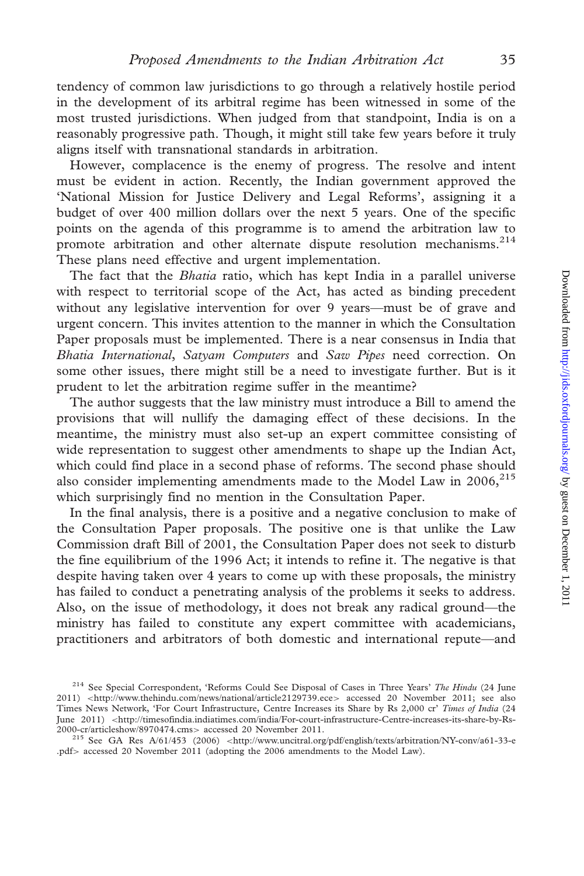tendency of common law jurisdictions to go through a relatively hostile period in the development of its arbitral regime has been witnessed in some of the most trusted jurisdictions. When judged from that standpoint, India is on a reasonably progressive path. Though, it might still take few years before it truly aligns itself with transnational standards in arbitration.

However, complacence is the enemy of progress. The resolve and intent must be evident in action. Recently, the Indian government approved the 'National Mission for Justice Delivery and Legal Reforms', assigning it a budget of over 400 million dollars over the next 5 years. One of the specific points on the agenda of this programme is to amend the arbitration law to promote arbitration and other alternate dispute resolution mechanisms.<sup>214</sup> These plans need effective and urgent implementation.

The fact that the *Bhatia* ratio, which has kept India in a parallel universe with respect to territorial scope of the Act, has acted as binding precedent without any legislative intervention for over 9 years—must be of grave and urgent concern. This invites attention to the manner in which the Consultation Paper proposals must be implemented. There is a near consensus in India that Bhatia International, Satyam Computers and Saw Pipes need correction. On some other issues, there might still be a need to investigate further. But is it prudent to let the arbitration regime suffer in the meantime?

The author suggests that the law ministry must introduce a Bill to amend the provisions that will nullify the damaging effect of these decisions. In the meantime, the ministry must also set-up an expert committee consisting of wide representation to suggest other amendments to shape up the Indian Act, which could find place in a second phase of reforms. The second phase should also consider implementing amendments made to the Model Law in  $2006$ ,  $215$ which surprisingly find no mention in the Consultation Paper.

In the final analysis, there is a positive and a negative conclusion to make of the Consultation Paper proposals. The positive one is that unlike the Law Commission draft Bill of 2001, the Consultation Paper does not seek to disturb the fine equilibrium of the 1996 Act; it intends to refine it. The negative is that despite having taken over 4 years to come up with these proposals, the ministry has failed to conduct a penetrating analysis of the problems it seeks to address. Also, on the issue of methodology, it does not break any radical ground—the ministry has failed to constitute any expert committee with academicians, practitioners and arbitrators of both domestic and international repute—and

<sup>&</sup>lt;sup>214</sup> See Special Correspondent, 'Reforms Could See Disposal of Cases in Three Years' The Hindu (24 June 2011) <<http://www.thehindu.com/news/national/article2129739.ece>> accessed 20 November 2011; see also Times News Network, 'For Court Infrastructure, Centre Increases its Share by Rs 2,000 cr' Times of India (24 June 2011) <http://timesofindia.indiatimes.com/india/For-court-infrastructure-Centre-increases-its-share-by-Rs-2000-cr/articleshow/8970474.cms> accessed 20 November 2011.

 $215$  See GA Res A/61/453 (2006) <[http://www.uncitral.org/pdf/english/texts/arbitration/NY-conv/a61-33-e](http://www.uncitral.org/pdf/english/texts/arbitration/NY-conv/a61-33-e.pdf) [.pdf](http://www.uncitral.org/pdf/english/texts/arbitration/NY-conv/a61-33-e.pdf)> accessed 20 November 2011 (adopting the 2006 amendments to the Model Law).